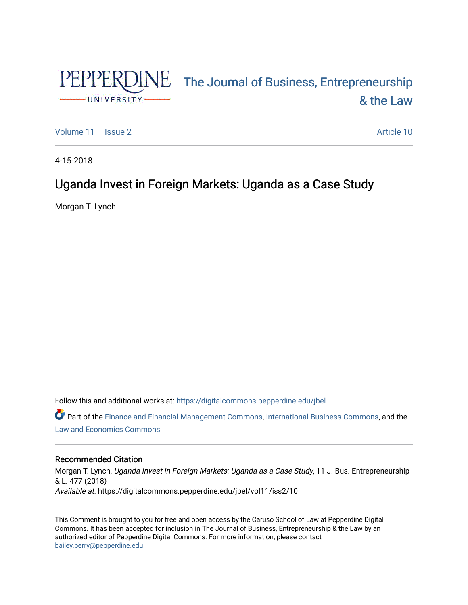

# PEPPERDINE The Journal of Business, Entrepreneurship [& the Law](https://digitalcommons.pepperdine.edu/jbel)

[Volume 11](https://digitalcommons.pepperdine.edu/jbel/vol11) | [Issue 2](https://digitalcommons.pepperdine.edu/jbel/vol11/iss2) Article 10

4-15-2018

# Uganda Invest in Foreign Markets: Uganda as a Case Study

Morgan T. Lynch

Follow this and additional works at: [https://digitalcommons.pepperdine.edu/jbel](https://digitalcommons.pepperdine.edu/jbel?utm_source=digitalcommons.pepperdine.edu%2Fjbel%2Fvol11%2Fiss2%2F10&utm_medium=PDF&utm_campaign=PDFCoverPages) 

Part of the [Finance and Financial Management Commons,](http://network.bepress.com/hgg/discipline/631?utm_source=digitalcommons.pepperdine.edu%2Fjbel%2Fvol11%2Fiss2%2F10&utm_medium=PDF&utm_campaign=PDFCoverPages) [International Business Commons,](http://network.bepress.com/hgg/discipline/634?utm_source=digitalcommons.pepperdine.edu%2Fjbel%2Fvol11%2Fiss2%2F10&utm_medium=PDF&utm_campaign=PDFCoverPages) and the [Law and Economics Commons](http://network.bepress.com/hgg/discipline/612?utm_source=digitalcommons.pepperdine.edu%2Fjbel%2Fvol11%2Fiss2%2F10&utm_medium=PDF&utm_campaign=PDFCoverPages) 

# Recommended Citation

Morgan T. Lynch, Uganda Invest in Foreign Markets: Uganda as a Case Study, 11 J. Bus. Entrepreneurship & L. 477 (2018) Available at: https://digitalcommons.pepperdine.edu/jbel/vol11/iss2/10

This Comment is brought to you for free and open access by the Caruso School of Law at Pepperdine Digital Commons. It has been accepted for inclusion in The Journal of Business, Entrepreneurship & the Law by an authorized editor of Pepperdine Digital Commons. For more information, please contact [bailey.berry@pepperdine.edu](mailto:bailey.berry@pepperdine.edu).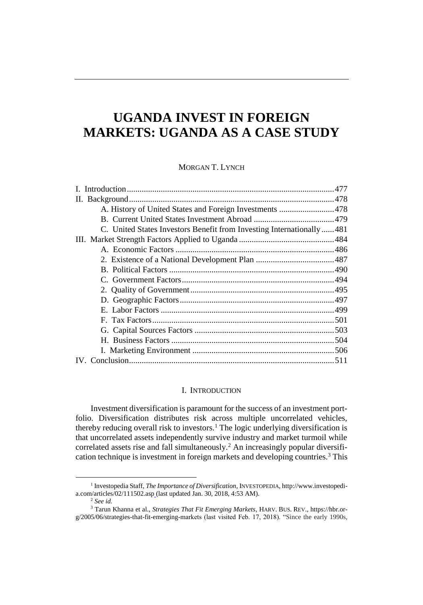# **UGANDA INVEST IN FOREIGN MARKETS: UGANDA AS A CASE STUDY**

# MORGAN T. LYNCH

| A. History of United States and Foreign Investments  478             |  |
|----------------------------------------------------------------------|--|
|                                                                      |  |
| C. United States Investors Benefit from Investing Internationally481 |  |
|                                                                      |  |
|                                                                      |  |
|                                                                      |  |
|                                                                      |  |
|                                                                      |  |
|                                                                      |  |
|                                                                      |  |
|                                                                      |  |
|                                                                      |  |
|                                                                      |  |
|                                                                      |  |
|                                                                      |  |
|                                                                      |  |

# <span id="page-1-0"></span>I. INTRODUCTION

Investment diversification is paramount for the success of an investment portfolio. Diversification distributes risk across multiple uncorrelated vehicles, thereby reducing overall risk to investors.<sup>1</sup> The logic underlying diversification is that uncorrelated assets independently survive industry and market turmoil while correlated assets rise and fall simultaneously.<sup>2</sup> An increasingly popular diversification technique is investment in foreign markets and developing countries.<sup>3</sup> This

<sup>1</sup> Investopedia Staff, *The Importance of Diversification*, INVESTOPEDIA, http://www.investopedia.com/articles/02/111502.asp (last updated Jan. 30, 2018, 4:53 AM).

<sup>2</sup> *See id.*

<sup>3</sup> Tarun Khanna et al., *Strategies That Fit Emerging Markets*, HARV. BUS. REV., https://hbr.org/2005/06/strategies-that-fit-emerging-markets (last visited Feb. 17, 2018). "Since the early 1990s,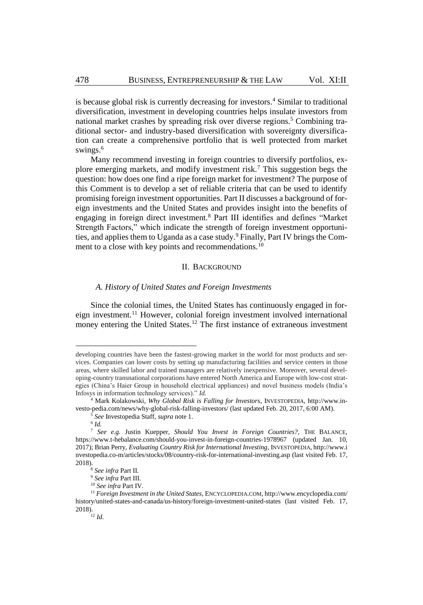is because global risk is currently decreasing for investors.<sup>4</sup> Similar to traditional diversification, investment in developing countries helps insulate investors from national market crashes by spreading risk over diverse regions.<sup>5</sup> Combining traditional sector- and industry-based diversification with sovereignty diversification can create a comprehensive portfolio that is well protected from market swings.<sup>6</sup>

Many recommend investing in foreign countries to diversify portfolios, explore emerging markets, and modify investment risk.<sup>7</sup> This suggestion begs the question: how does one find a ripe foreign market for investment? The purpose of this Comment is to develop a set of reliable criteria that can be used to identify promising foreign investment opportunities. Part II discusses a background of foreign investments and the United States and provides insight into the benefits of engaging in foreign direct investment.<sup>8</sup> Part III identifies and defines "Market Strength Factors," which indicate the strength of foreign investment opportunities, and applies them to Uganda as a case study.<sup>9</sup> Finally, Part IV brings the Comment to a close with key points and recommendations.<sup>10</sup>

# II. BACKGROUND

# <span id="page-2-0"></span>*A. History of United States and Foreign Investments*

Since the colonial times, the United States has continuously engaged in foreign investment.<sup>11</sup> However, colonial foreign investment involved international money entering the United States.<sup>12</sup> The first instance of extraneous investment

developing countries have been the fastest-growing market in the world for most products and services. Companies can lower costs by setting up manufacturing facilities and service centers in those areas, where skilled labor and trained managers are relatively inexpensive. Moreover, several developing-country transnational corporations have entered North America and Europe with low-cost strategies (China's Haier Group in household electrical appliances) and novel business models (India's Infosys in information technology services)." *Id.*

<sup>4</sup> Mark Kolakowski, *Why Global Risk is Falling for Investors*, INVESTOPEDIA, http://www.investo-pedia.com/news/why-global-risk-falling-investors/ (last updated Feb. 20, 2017, 6:00 AM).

<sup>5</sup> *See* Investopedia Staff, *supra* not[e 1.](#page-1-0)

<sup>6</sup> *Id.*

<sup>7</sup> *See e.g.* Justin Kuepper, *Should You Invest in Foreign Countries?,* THE BALANCE, https://www.t-hebalance.com/should-you-invest-in-foreign-countries-1978967 (updated Jan. 10, 2017); Brian Perry, *Evaluating Country Risk for International Investing*, INVESTOPEDIA, http://www.i nvestopedia.co-m/articles/stocks/08/country-risk-for-international-investing.asp (last visited Feb. 17, 2018).

<sup>8</sup> *See infra* Part II.

<sup>9</sup> *See infra* Part III.

<sup>10</sup> *See infra* Part IV.

<sup>11</sup> *Foreign Investment in the United States*, ENCYCLOPEDIA.COM, http://www.encyclopedia.com/ history/united-states-and-canada/us-history/foreign-investment-united-states (last visited Feb. 17, 2018).

<sup>12</sup> *Id.*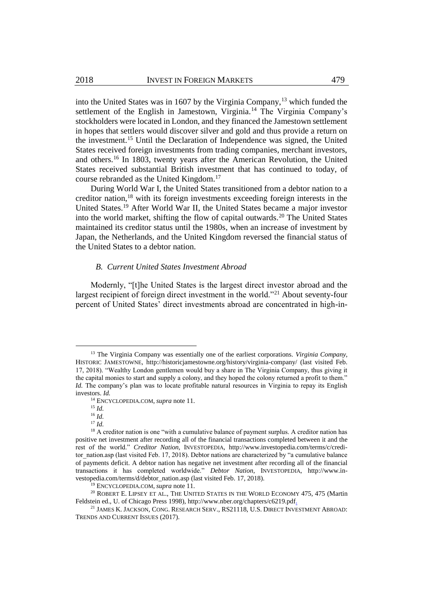into the United States was in 1607 by the Virginia Company,<sup>13</sup> which funded the settlement of the English in Jamestown, Virginia.<sup>14</sup> The Virginia Company's stockholders were located in London, and they financed the Jamestown settlement in hopes that settlers would discover silver and gold and thus provide a return on the investment.<sup>15</sup> Until the Declaration of Independence was signed, the United States received foreign investments from trading companies, merchant investors, and others.<sup>16</sup> In 1803, twenty years after the American Revolution, the United States received substantial British investment that has continued to today, of course rebranded as the United Kingdom. 17

During World War I, the United States transitioned from a debtor nation to a creditor nation,<sup>18</sup> with its foreign investments exceeding foreign interests in the United States.<sup>19</sup> After World War II, the United States became a major investor into the world market, shifting the flow of capital outwards.<sup>20</sup> The United States maintained its creditor status until the 1980s, when an increase of investment by Japan, the Netherlands, and the United Kingdom reversed the financial status of the United States to a debtor nation.

#### <span id="page-3-0"></span>*B. Current United States Investment Abroad*

Modernly, "[t]he United States is the largest direct investor abroad and the largest recipient of foreign direct investment in the world."<sup>21</sup> About seventy-four percent of United States' direct investments abroad are concentrated in high-in-

<sup>13</sup> The Virginia Company was essentially one of the earliest corporations. *Virginia Company*, HISTORIC JAMESTOWNE, http://historicjamestowne.org/history/virginia-company/ (last visited Feb. 17, 2018). "Wealthy London gentlemen would buy a share in The Virginia Company, thus giving it the capital monies to start and supply a colony, and they hoped the colony returned a profit to them." *Id.* The company's plan was to locate profitable natural resources in Virginia to repay its English investors. *Id.*

<sup>14</sup> ENCYCLOPEDIA.COM, *supra* not[e 11.](#page-2-0)

<sup>15</sup> *Id.*

<sup>16</sup> *Id.*

<sup>17</sup> *Id.*

<sup>&</sup>lt;sup>18</sup> A creditor nation is one "with a cumulative balance of payment surplus. A creditor nation has positive net investment after recording all of the financial transactions completed between it and the rest of the world." *Creditor Nation*, INVESTOPEDIA, http://www.investopedia.com/terms/c/creditor\_nation.asp (last visited Feb. 17, 2018). Debtor nations are characterized by "a cumulative balance of payments deficit. A debtor nation has negative net investment after recording all of the financial transactions it has completed worldwide." *Debtor Nation*, INVESTOPEDIA, http://www.investopedia.com/terms/d/debtor\_nation.asp (last visited Feb. 17, 2018).

<sup>19</sup> ENCYCLOPEDIA.COM, *supra* not[e 11.](#page-2-0)

<sup>&</sup>lt;sup>20</sup> ROBERT E. LIPSEY ET AL., THE UNITED STATES IN THE WORLD ECONOMY 475, 475 (Martin Feldstein ed., U. of Chicago Press 1998), http://www.nber.org/chapters/c6219.pdf.

<sup>&</sup>lt;sup>21</sup> JAMES K. JACKSON, CONG. RESEARCH SERV., RS21118, U.S. DIRECT INVESTMENT ABROAD: TRENDS AND CURRENT ISSUES (2017).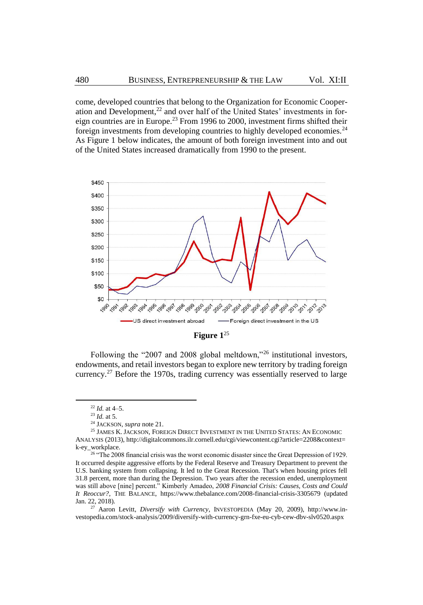come, developed countries that belong to the Organization for Economic Cooperation and Development, <sup>22</sup> and over half of the United States' investments in foreign countries are in Europe.<sup>23</sup> From 1996 to 2000, investment firms shifted their foreign investments from developing countries to highly developed economies.<sup>24</sup> As Figure 1 below indicates, the amount of both foreign investment into and out of the United States increased dramatically from 1990 to the present.



**Figure 1**<sup>25</sup>

<span id="page-4-0"></span>Following the "2007 and 2008 global meltdown,"<sup>26</sup> institutional investors, endowments, and retail investors began to explore new territory by trading foreign currency.<sup>27</sup> Before the 1970s, trading currency was essentially reserved to large

<sup>22</sup> *Id.* at 4–5.

<sup>23</sup> *Id.* at 5.

<sup>24</sup> JACKSON, *supra* not[e 21.](#page-3-0)

<sup>&</sup>lt;sup>25</sup> JAMES K. JACKSON, FOREIGN DIRECT INVESTMENT IN THE UNITED STATES: AN ECONOMIC ANALYSIS (2013), http://digitalcommons.ilr.cornell.edu/cgi/viewcontent.cgi?article=2208&context= k-ey\_workplace.

<sup>&</sup>lt;sup>26</sup> "The 2008 financial crisis was the worst economic disaster since the Great Depression of 1929. It occurred despite aggressive efforts by the Federal Reserve and Treasury Department to prevent the U.S. banking system from collapsing. It led to the Great Recession. That's when housing prices fell 31.8 percent, more than during the Depression. Two years after the recession ended, unemployment was still above [nine] percent." Kimberly Amadeo, *2008 Financial Crisis: Causes, Costs and Could It Reoccur?*, THE BALANCE, https://www.thebalance.com/2008-financial-crisis-3305679 (updated Jan. 22, 2018).

<sup>27</sup> Aaron Levitt, *Diversify with Currency*, INVESTOPEDIA (May 20, 2009), http://www.investopedia.com/stock-analysis/2009/diversify-with-currency-grn-fxe-eu-cyb-cew-dbv-slv0520.aspx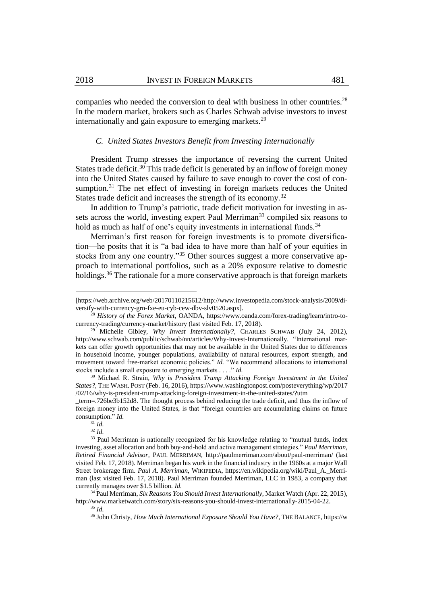companies who needed the conversion to deal with business in other countries.<sup>28</sup> In the modern market, brokers such as Charles Schwab advise investors to invest internationally and gain exposure to emerging markets.<sup>29</sup>

# <span id="page-5-1"></span><span id="page-5-0"></span>*C. United States Investors Benefit from Investing Internationally*

President Trump stresses the importance of reversing the current United States trade deficit.<sup>30</sup> This trade deficit is generated by an inflow of foreign money into the United States caused by failure to save enough to cover the cost of consumption.<sup>31</sup> The net effect of investing in foreign markets reduces the United States trade deficit and increases the strength of its economy.<sup>32</sup>

In addition to Trump's patriotic, trade deficit motivation for investing in assets across the world, investing expert Paul Merriman<sup>33</sup> compiled six reasons to hold as much as half of one's equity investments in international funds.<sup>34</sup>

Merriman's first reason for foreign investments is to promote diversification—he posits that it is "a bad idea to have more than half of your equities in stocks from any one country."<sup>35</sup> Other sources suggest a more conservative approach to international portfolios, such as a 20% exposure relative to domestic holdings.<sup>36</sup> The rationale for a more conservative approach is that foreign markets

 $\overline{a}$ 

<sup>32</sup> *Id.*

<sup>[</sup>https://web.archive.org/web/20170110215612/http://www.investopedia.com/stock-analysis/2009/diversify-with-currency-grn-fxe-eu-cyb-cew-dbv-slv0520.aspx].

<sup>28</sup> *History of the Forex Market*, OANDA, https://www.oanda.com/forex-trading/learn/intro-tocurrency-trading/currency-market/history (last visited Feb. 17, 2018).

<sup>&</sup>lt;sup>29</sup> Michelle Gibley, *Why Invest Internationally?*, CHARLES SCHWAB (July 24, 2012), http://www.schwab.com/public/schwab/nn/articles/Why-Invest-Internationally. "International markets can offer growth opportunities that may not be available in the United States due to differences in household income, younger populations, availability of natural resources, export strength, and movement toward free-market economic policies." *Id.* "We recommend allocations to international stocks include a small exposure to emerging markets . . . ." *Id.*

<sup>30</sup> Michael R. Strain, *Why is President Trump Attacking Foreign Investment in the United States?,* THE WASH. POST (Feb. 16, 2016), https://www.washingtonpost.com/posteverything/wp/2017 /02/16/why-is-president-trump-attacking-foreign-investment-in-the-united-states/?utm

\_term=.726be3b152d8. The thought process behind reducing the trade deficit, and thus the inflow of foreign money into the United States, is that "foreign countries are accumulating claims on future consumption." *Id.*

 $31\overline{Id}$ 

<sup>&</sup>lt;sup>33</sup> Paul Merriman is nationally recognized for his knowledge relating to "mutual funds, index investing, asset allocation and both buy-and-hold and active management strategies." *Paul Merriman, Retired Financial Advisor*, PAUL MERRIMAN, http://paulmerriman.com/about/paul-merriman/ (last visited Feb. 17, 2018). Merriman began his work in the financial industry in the 1960s at a major Wall Street brokerage firm. *Paul A. Merriman*, WIKIPEDIA, https://en.wikipedia.org/wiki/Paul\_A.\_Merriman (last visited Feb. 17, 2018). Paul Merriman founded Merriman, LLC in 1983, a company that currently manages over \$1.5 billion. *Id.* 

<sup>34</sup> Paul Merriman, *Six Reasons You Should Invest Internationally*, Market Watch (Apr. 22, 2015), http://www.marketwatch.com/story/six-reasons-you-should-invest-internationally-2015-04-22.

<sup>35</sup> *Id.* 

<sup>36</sup> John Christy, *How Much International Exposure Should You Have?*, THE BALANCE, https://w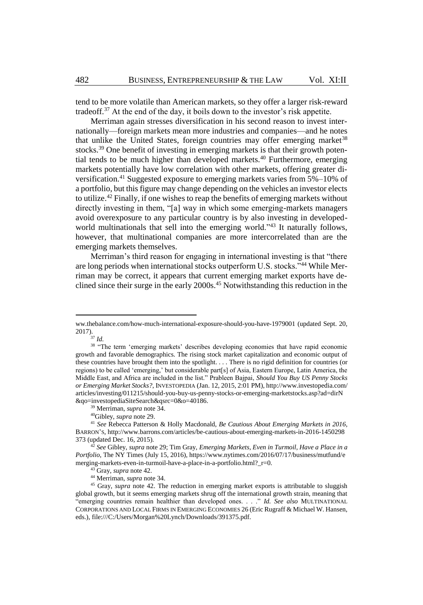tend to be more volatile than American markets, so they offer a larger risk-reward tradeoff.<sup>37</sup> At the end of the day, it boils down to the investor's risk appetite.

Merriman again stresses diversification in his second reason to invest internationally—foreign markets mean more industries and companies—and he notes that unlike the United States, foreign countries may offer emerging market<sup>38</sup> stocks.<sup>39</sup> One benefit of investing in emerging markets is that their growth potential tends to be much higher than developed markets.<sup>40</sup> Furthermore, emerging markets potentially have low correlation with other markets, offering greater diversification.<sup>41</sup> Suggested exposure to emerging markets varies from 5%–10% of a portfolio, but this figure may change depending on the vehicles an investor elects to utilize.<sup>42</sup> Finally, if one wishes to reap the benefits of emerging markets without directly investing in them, "[a] way in which some emerging-markets managers avoid overexposure to any particular country is by also investing in developedworld multinationals that sell into the emerging world."<sup>43</sup> It naturally follows, however, that multinational companies are more intercorrelated than are the emerging markets themselves.

<span id="page-6-0"></span>Merriman's third reason for engaging in international investing is that "there are long periods when international stocks outperform U.S. stocks."<sup>44</sup> While Merriman may be correct, it appears that current emerging market exports have declined since their surge in the early 2000s.<sup>45</sup> Notwithstanding this reduction in the

<sup>37</sup> *Id.* 

ww.thebalance.com/how-much-international-exposure-should-you-have-1979001 (updated Sept. 20, 2017).

<sup>&</sup>lt;sup>38</sup> "The term 'emerging markets' describes developing economies that have rapid economic growth and favorable demographics. The rising stock market capitalization and economic output of these countries have brought them into the spotlight. . . . There is no rigid definition for countries (or regions) to be called 'emerging,' but considerable part[s] of Asia, Eastern Europe, Latin America, the Middle East, and Africa are included in the list." Prableen Bajpai, *Should You Buy US Penny Stocks or Emerging Market Stocks?*, INVESTOPEDIA (Jan. 12, 2015, 2:01 PM), http://www.investopedia.com/ articles/investing/011215/should-you-buy-us-penny-stocks-or-emerging-marketstocks.asp?ad=dirN &qo=investopediaSiteSearch&qsrc=0&o=40186.

<sup>39</sup> Merriman, *supra* not[e 34.](#page-5-0)

<sup>40</sup>Gibley, *supra* not[e 29.](#page-5-1)

<sup>41</sup> *See* Rebecca Patterson & Holly Macdonald, *Be Cautious About Emerging Markets in 2016*, BARRON'S, http://www.barrons.com/articles/be-cautious-about-emerging-markets-in-2016-1450298 373 (updated Dec. 16, 2015).

<sup>42</sup> *See* Gibley, *supra* not[e 29;](#page-5-1) Tim Gray, *Emerging Markets, Even in Turmoil, Have a Place in a Portfolio*, The NY Times (July 15, 2016), https://www.nytimes.com/2016/07/17/business/mutfund/e merging-markets-even-in-turmoil-have-a-place-in-a-portfolio.html?\_r=0.

<sup>43</sup> Gray, *supra* not[e 42.](#page-6-0)

<sup>44</sup> Merriman, *supra* not[e 34.](#page-5-0)

<sup>45</sup> Gray, *supra* note [42.](#page-6-0) The reduction in emerging market exports is attributable to sluggish global growth, but it seems emerging markets shrug off the international growth strain, meaning that "emerging countries remain healthier than developed ones. . . ." *Id. See also* MULTINATIONAL CORPORATIONS AND LOCAL FIRMS IN EMERGING ECONOMIES 26 (Eric Rugraff & Michael W. Hansen, eds.), file:///C:/Users/Morgan%20Lynch/Downloads/391375.pdf.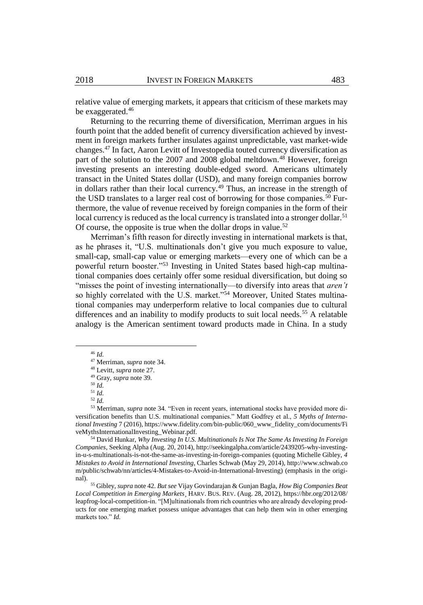relative value of emerging markets, it appears that criticism of these markets may be exaggerated.<sup>46</sup>

Returning to the recurring theme of diversification, Merriman argues in his fourth point that the added benefit of currency diversification achieved by investment in foreign markets further insulates against unpredictable, vast market-wide changes.<sup>47</sup> In fact, Aaron Levitt of Investopedia touted currency diversification as part of the solution to the 2007 and 2008 global meltdown.<sup>48</sup> However, foreign investing presents an interesting double-edged sword. Americans ultimately transact in the United States dollar (USD), and many foreign companies borrow in dollars rather than their local currency.<sup>49</sup> Thus, an increase in the strength of the USD translates to a larger real cost of borrowing for those companies.<sup>50</sup> Furthermore, the value of revenue received by foreign companies in the form of their local currency is reduced as the local currency is translated into a stronger dollar.<sup>51</sup> Of course, the opposite is true when the dollar drops in value.<sup>52</sup>

Merriman's fifth reason for directly investing in international markets is that, as he phrases it, "U.S. multinationals don't give you much exposure to value, small-cap, small-cap value or emerging markets—every one of which can be a powerful return booster."<sup>53</sup> Investing in United States based high-cap multinational companies does certainly offer some residual diversification, but doing so "misses the point of investing internationally—to diversify into areas that *aren't* so highly correlated with the U.S. market."<sup>54</sup> Moreover, United States multinational companies may underperform relative to local companies due to cultural differences and an inability to modify products to suit local needs.<sup>55</sup> A relatable analogy is the American sentiment toward products made in China. In a study

<sup>46</sup> *Id.*

<sup>47</sup> Merriman, *supra* not[e 34.](#page-5-0)

<sup>48</sup> Levitt, *supra* not[e 27.](#page-4-0)

<sup>49</sup> Gray, *supra* note 39.

<sup>50</sup> *Id.*

<sup>51</sup> *Id.*

<sup>52</sup> *Id.*

<sup>53</sup> Merriman, *supra* note [34.](#page-5-0) "Even in recent years, international stocks have provided more diversification benefits than U.S. multinational companies." Matt Godfrey et al., *5 Myths of International Investing* 7 (2016), https://www.fidelity.com/bin-public/060\_www\_fidelity\_com/documents/Fi veMythsInternationalInvesting\_Webinar.pdf.

<sup>54</sup> David Hunkar, *Why Investing In U.S. Multinationals Is Not The Same As Investing In Foreign Companies*, Seeking Alpha (Aug. 20, 2014), http://seekingalpha.com/article/2439205-why-investingin-u-s-multinationals-is-not-the-same-as-investing-in-foreign-companies (quoting Michelle Gibley, *4 Mistakes to Avoid in International Investing*, Charles Schwab (May 29, 2014), http://www.schwab.co m/public/schwab/nn/articles/4-Mistakes-to-Avoid-in-International-Investing) (emphasis in the original).

<sup>55</sup> Gibley, *supra* not[e 42.](#page-6-0) *But see* Vijay Govindarajan & Gunjan Bagla, *How Big Companies Beat Local Competition in Emerging Markets*¸ HARV. BUS. REV. (Aug. 28, 2012), https://hbr.org/2012/08/ leapfrog-local-competition-in. "[M]ultinationals from rich countries who are already developing products for one emerging market possess unique advantages that can help them win in other emerging markets too." *Id.*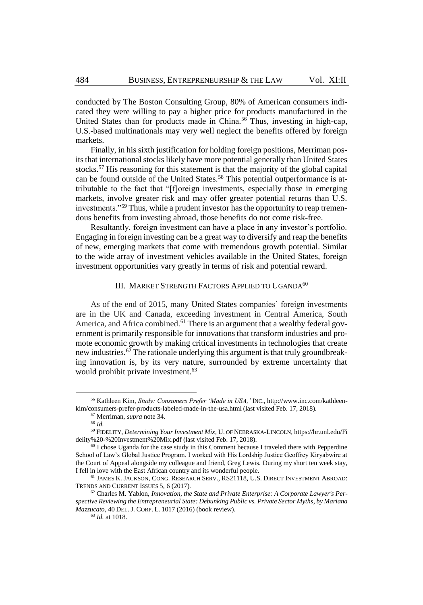conducted by The Boston Consulting Group, 80% of American consumers indicated they were willing to pay a higher price for products manufactured in the United States than for products made in China.<sup>56</sup> Thus, investing in high-cap, U.S.-based multinationals may very well neglect the benefits offered by foreign markets.

Finally, in his sixth justification for holding foreign positions, Merriman posits that international stocks likely have more potential generally than United States stocks.<sup>57</sup> His reasoning for this statement is that the majority of the global capital can be found outside of the United States.<sup>58</sup> This potential outperformance is attributable to the fact that "[f]oreign investments, especially those in emerging markets, involve greater risk and may offer greater potential returns than U.S. investments."<sup>59</sup> Thus, while a prudent investor has the opportunity to reap tremendous benefits from investing abroad, those benefits do not come risk-free.

Resultantly, foreign investment can have a place in any investor's portfolio. Engaging in foreign investing can be a great way to diversify and reap the benefits of new, emerging markets that come with tremendous growth potential. Similar to the wide array of investment vehicles available in the United States, foreign investment opportunities vary greatly in terms of risk and potential reward.

# <span id="page-8-0"></span>III. MARKET STRENGTH FACTORS APPLIED TO UGANDA<sup>60</sup>

As of the end of 2015, many United States companies' foreign investments are in the UK and Canada, exceeding investment in Central America, South America, and Africa combined.<sup>61</sup> There is an argument that a wealthy federal government is primarily responsible for innovations that transform industries and promote economic growth by making critical investments in technologies that create new industries.<sup>62</sup> The rationale underlying this argument is that truly groundbreaking innovation is, by its very nature, surrounded by extreme uncertainty that would prohibit private investment.<sup>63</sup>

<sup>56</sup> Kathleen Kim, *Study: Consumers Prefer 'Made in USA,'* INC., http://www.inc.com/kathleenkim/consumers-prefer-products-labeled-made-in-the-usa.html (last visited Feb. 17, 2018).

<sup>57</sup> Merriman, *supra* not[e 34.](#page-5-0)

<sup>58</sup> *Id.*

<sup>59</sup> FIDELITY, *Determining Your Investment Mix*, U. OF NEBRASKA-LINCOLN, https://hr.unl.edu/Fi delity%20-%20Investment%20Mix.pdf (last visited Feb. 17, 2018).

 $60$  I chose Uganda for the case study in this Comment because I traveled there with Pepperdine School of Law's Global Justice Program. I worked with His Lordship Justice Geoffrey Kiryabwire at the Court of Appeal alongside my colleague and friend, Greg Lewis. During my short ten week stay, I fell in love with the East African country and its wonderful people.

<sup>61</sup> JAMES K. JACKSON, CONG. RESEARCH SERV., RS21118, U.S. DIRECT INVESTMENT ABROAD: TRENDS AND CURRENT ISSUES 5, 6 (2017)*.*

<sup>62</sup> Charles M. Yablon, *Innovation, the State and Private Enterprise: A Corporate Lawyer's Perspective Reviewing the Entrepreneurial State: Debunking Public vs. Private Sector Myths*, *by Mariana Mazzucato*, 40 DEL. J. CORP. L. 1017 (2016) (book review).

<sup>63</sup> *Id.* at 1018.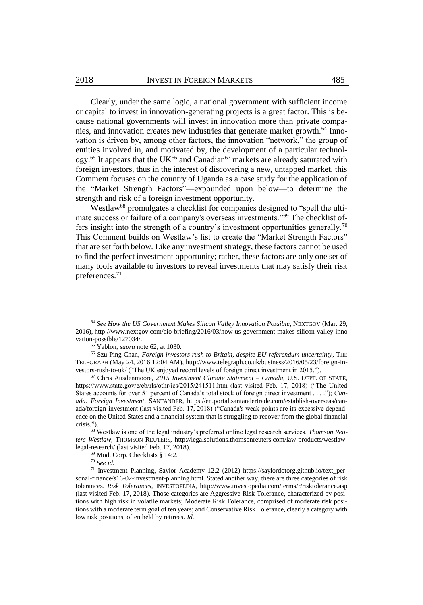Clearly, under the same logic, a national government with sufficient income or capital to invest in innovation-generating projects is a great factor. This is because national governments will invest in innovation more than private companies, and innovation creates new industries that generate market growth.<sup>64</sup> Innovation is driven by, among other factors, the innovation "network," the group of entities involved in, and motivated by, the development of a particular technology.<sup>65</sup> It appears that the UK<sup>66</sup> and Canadian<sup>67</sup> markets are already saturated with foreign investors, thus in the interest of discovering a new, untapped market, this Comment focuses on the country of Uganda as a case study for the application of the "Market Strength Factors"—expounded upon below—to determine the strength and risk of a foreign investment opportunity.

<span id="page-9-0"></span>Westlaw<sup>68</sup> promulgates a checklist for companies designed to "spell the ultimate success or failure of a company's overseas investments."<sup>69</sup> The checklist offers insight into the strength of a country's investment opportunities generally.<sup>70</sup> This Comment builds on Westlaw's list to create the "Market Strength Factors" that are set forth below. Like any investment strategy, these factors cannot be used to find the perfect investment opportunity; rather, these factors are only one set of many tools available to investors to reveal investments that may satisfy their risk preferences.<sup>71</sup>

<sup>64</sup> *See How the US Government Makes Silicon Valley Innovation Possible*, NEXTGOV (Mar. 29, 2016), http://www.nextgov.com/cio-briefing/2016/03/how-us-government-makes-silicon-valley-inno vation-possible/127034/.

<sup>65</sup> Yablon, *supra* not[e 62,](#page-8-0) at 1030.

<sup>66</sup> Szu Ping Chan, *Foreign investors rush to Britain, despite EU referendum uncertainty*, THE TELEGRAPH (May 24, 2016 12:04 AM), http://www.telegraph.co.uk/business/2016/05/23/foreign-investors-rush-to-uk/ ("The UK enjoyed record levels of foreign direct investment in 2015.").

<sup>67</sup> Chris Ausdenmoore, *2015 Investment Climate Statement – Canada*, U.S. DEPT. OF STATE, https://www.state.gov/e/eb/rls/othr/ics/2015/241511.htm (last visited Feb. 17, 2018) ("The United States accounts for over 51 percent of Canada's total stock of foreign direct investment . . . ."); *Canada: Foreign Investment*, SANTANDER, https://en.portal.santandertrade.com/establish-overseas/canada/foreign-investment (last visited Feb. 17, 2018) ("Canada's weak points are its excessive dependence on the United States and a financial system that is struggling to recover from the global financial crisis.").

<sup>68</sup> Westlaw is one of the legal industry's preferred online legal research services. *Thomson Reuters Westlaw*, THOMSON REUTERS, http://legalsolutions.thomsonreuters.com/law-products/westlawlegal-research/ (last visited Feb. 17, 2018).

<sup>69</sup> Mod. Corp. Checklists § 14:2.

<sup>70</sup> *See id.* 

<sup>71</sup> Investment Planning, Saylor Academy 12.2 (2012) https://saylordotorg.github.io/text\_personal-finance/s16-02-investment-planning.html. Stated another way, there are three categories of risk tolerances. *Risk Tolerances*, INVESTOPEDIA, http://www.investopedia.com/terms/r/risktolerance.asp (last visited Feb. 17, 2018). Those categories are Aggressive Risk Tolerance, characterized by positions with high risk in volatile markets; Moderate Risk Tolerance, comprised of moderate risk positions with a moderate term goal of ten years; and Conservative Risk Tolerance, clearly a category with low risk positions, often held by retirees. *Id.*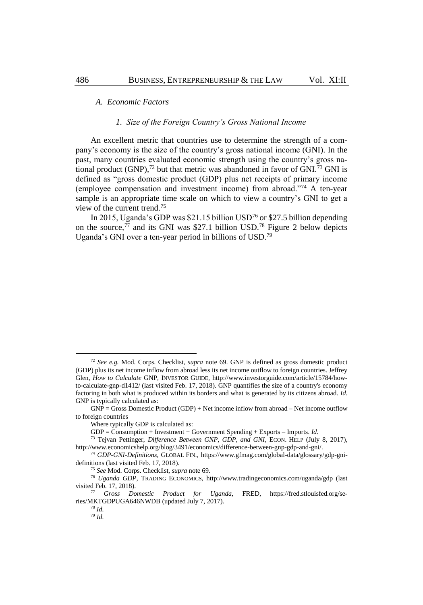# *A. Economic Factors*

#### <span id="page-10-0"></span>*1. Size of the Foreign Country's Gross National Income*

An excellent metric that countries use to determine the strength of a company's economy is the size of the country's gross national income (GNI). In the past, many countries evaluated economic strength using the country's gross national product  $(GNP)$ ,<sup>72</sup> but that metric was abandoned in favor of  $GNI$ .<sup>73</sup> GNI is defined as "gross domestic product (GDP) plus net receipts of primary income (employee compensation and investment income) from abroad."<sup>74</sup> A ten-year sample is an appropriate time scale on which to view a country's GNI to get a view of the current trend.<sup>75</sup>

In 2015, Uganda's GDP was \$21.15 billion USD<sup>76</sup> or \$27.5 billion depending on the source, $^{77}$  and its GNI was \$27.1 billion USD.<sup>78</sup> Figure 2 below depicts Uganda's GNI over a ten-year period in billions of USD.<sup>79</sup>

<sup>72</sup> *See e.g.* Mod. Corps. Checklist, *supra* note [69.](#page-9-0) GNP is defined as gross domestic product (GDP) plus its net income inflow from abroad less its net income outflow to foreign countries. Jeffrey Glen, *How to Calculate* GNP, INVESTOR GUIDE, http://www.investorguide.com/article/15784/howto-calculate-gnp-d1412/ (last visited Feb. 17, 2018). GNP quantifies the size of a country's economy factoring in both what is produced within its borders and what is generated by its citizens abroad. *Id.*  GNP is typically calculated as:

GNP = Gross Domestic Product (GDP) + Net income inflow from abroad – Net income outflow to foreign countries

Where typically GDP is calculated as:

GDP = Consumption + Investment + Government Spending + Exports – Imports. *Id.*

<sup>73</sup> Tejvan Pettinger, *Difference Between GNP, GDP, and GNI*, ECON. HELP (July 8, 2017), http://www.economicshelp.org/blog/3491/economics/difference-between-gnp-gdp-and-gni/.

<sup>74</sup> *GDP-GNI-Definitions*, GLOBAL FIN., https://www.gfmag.com/global-data/glossary/gdp-gnidefinitions (last visited Feb. 17, 2018).

<sup>75</sup> *See* Mod. Corps. Checklist, *supra* not[e 69.](#page-9-0)

<sup>76</sup> *Uganda GDP*, TRADING ECONOMICS, http://www.tradingeconomics.com/uganda/gdp (last visited Feb. 17, 2018).

<sup>77</sup> *Gross Domestic Product for Uganda,* FRED, https://fred.stlouisfed.org/series/MKTGDPUGA646NWDB (updated July 7, 2017).

<sup>78</sup> *Id.* 

<sup>79</sup> *Id.*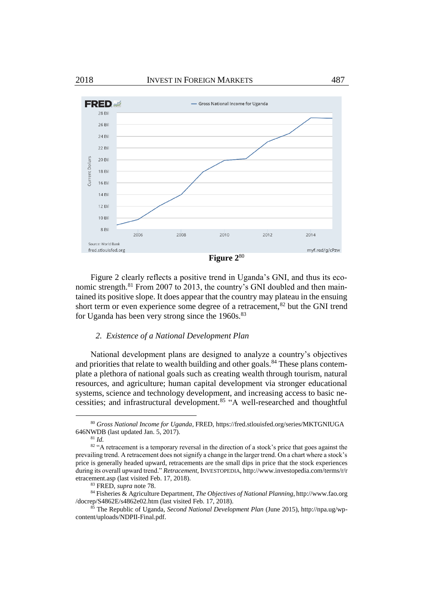

Figure 2 clearly reflects a positive trend in Uganda's GNI, and thus its economic strength.<sup>81</sup> From 2007 to 2013, the country's GNI doubled and then maintained its positive slope. It does appear that the country may plateau in the ensuing short term or even experience some degree of a retracement,<sup>82</sup> but the GNI trend for Uganda has been very strong since the  $1960s$ .<sup>83</sup>

# *2. Existence of a National Development Plan*

National development plans are designed to analyze a country's objectives and priorities that relate to wealth building and other goals.<sup>84</sup> These plans contemplate a plethora of national goals such as creating wealth through tourism, natural resources, and agriculture; human capital development via stronger educational systems, science and technology development, and increasing access to basic necessities; and infrastructural development.<sup>85</sup> "A well-researched and thoughtful

<sup>80</sup> *Gross National Income for Uganda*, FRED, https://fred.stlouisfed.org/series/MKTGNIUGA 646NWDB (last updated Jan. 5, 2017).

<span id="page-11-0"></span><sup>81</sup> *Id.*

<sup>82 &</sup>quot;A retracement is a temporary reversal in the direction of a stock's price that goes against the prevailing trend. A retracement does not signify a change in the larger trend. On a chart where a stock's price is generally headed upward, retracements are the small dips in price that the stock experiences during its overall upward trend." *Retracement*, INVESTOPEDIA, http://www.investopedia.com/terms/r/r etracement.asp (last visited Feb. 17, 2018).

<sup>83</sup> FRED, *supra* not[e 78.](#page-10-0)

<sup>84</sup> Fisheries & Agriculture Department, *The Objectives of National Planning*, http://www.fao.org /docrep/S4862E/s4862e02.htm (last visited Feb. 17, 2018).

<sup>85</sup> The Republic of Uganda, *Second National Development Plan* (June 2015), http://npa.ug/wpcontent/uploads/NDPII-Final.pdf.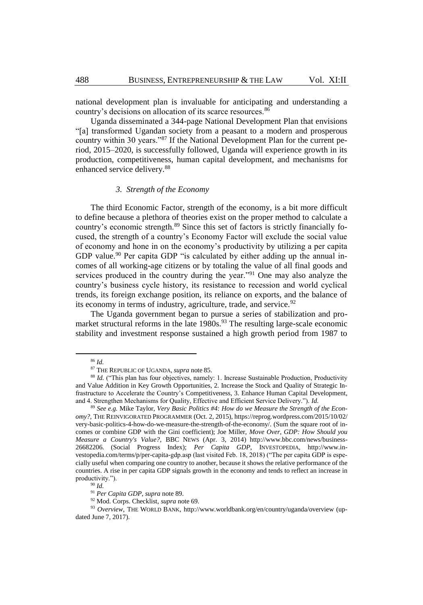national development plan is invaluable for anticipating and understanding a country's decisions on allocation of its scarce resources.<sup>86</sup>

Uganda disseminated a 344-page National Development Plan that envisions "[a] transformed Ugandan society from a peasant to a modern and prosperous country within 30 years."<sup>87</sup> If the National Development Plan for the current period, 2015–2020, is successfully followed, Uganda will experience growth in its production, competitiveness, human capital development, and mechanisms for enhanced service delivery.<sup>88</sup>

# <span id="page-12-0"></span>*3. Strength of the Economy*

The third Economic Factor, strength of the economy, is a bit more difficult to define because a plethora of theories exist on the proper method to calculate a country's economic strength.<sup>89</sup> Since this set of factors is strictly financially focused, the strength of a country's Economy Factor will exclude the social value of economy and hone in on the economy's productivity by utilizing a per capita GDP value.<sup>90</sup> Per capita GDP "is calculated by either adding up the annual incomes of all working-age citizens or by totaling the value of all final goods and services produced in the country during the year."<sup>91</sup> One may also analyze the country's business cycle history, its resistance to recession and world cyclical trends, its foreign exchange position, its reliance on exports, and the balance of its economy in terms of industry, agriculture, trade, and service.<sup>92</sup>

The Uganda government began to pursue a series of stabilization and promarket structural reforms in the late  $1980s$ .<sup>93</sup> The resulting large-scale economic stability and investment response sustained a high growth period from 1987 to

<sup>86</sup> *Id.*

<sup>87</sup> THE REPUBLIC OF UGANDA, *supra* note [85.](#page-11-0)

<sup>&</sup>lt;sup>88</sup> *Id.* ("This plan has four objectives, namely: 1. Increase Sustainable Production, Productivity and Value Addition in Key Growth Opportunities, 2. Increase the Stock and Quality of Strategic Infrastructure to Accelerate the Country's Competitiveness, 3. Enhance Human Capital Development, and 4. Strengthen Mechanisms for Quality, Effective and Efficient Service Delivery."). *Id.*

<sup>89</sup> *See e.g.* Mike Taylor, *Very Basic Politics #4: How do we Measure the Strength of the Economy?,* THE REINVIGORATED PROGRAMMER (Oct. 2, 2015), https://reprog.wordpress.com/2015/10/02/ very-basic-politics-4-how-do-we-measure-the-strength-of-the-economy/. (Sum the square root of incomes or combine GDP with the Gini coefficient); Joe Miller, *Move Over, GDP: How Should you Measure a Country's Value?*, BBC NEWS (Apr. 3, 2014) http://www.bbc.com/news/business-26682206. (Social Progress Index); *Per Capita GDP*, INVESTOPEDIA, http://www.investopedia.com/terms/p/per-capita-gdp.asp (last visited Feb. 18, 2018) ("The per capita GDP is especially useful when comparing one country to another, because it shows the relative performance of the countries. A rise in per capita GDP signals growth in the economy and tends to reflect an increase in productivity.").

<sup>90</sup> *Id.*

<sup>91</sup> *Per Capita GDP*, *supra* not[e 89.](#page-12-0)

<sup>92</sup> Mod. Corps. Checklist, *supra* not[e 69.](#page-9-0)

<sup>93</sup> *Overview*, THE WORLD BANK, http://www.worldbank.org/en/country/uganda/overview (updated June 7, 2017).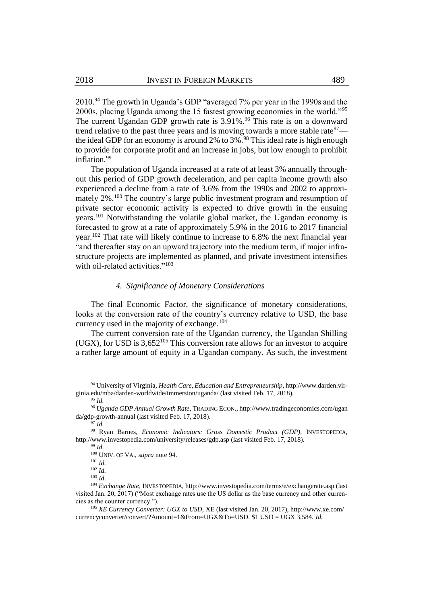<span id="page-13-0"></span>2010.<sup>94</sup> The growth in Uganda's GDP "averaged 7% per year in the 1990s and the 2000s, placing Uganda among the 15 fastest growing economies in the world."<sup>95</sup> The current Ugandan GDP growth rate is 3.91%.<sup>96</sup> This rate is on a downward trend relative to the past three years and is moving towards a more stable rate $\frac{97}{ }$ the ideal GDP for an economy is around  $2\%$  to  $3\%$ .<sup>98</sup> This ideal rate is high enough to provide for corporate profit and an increase in jobs, but low enough to prohibit inflation.<sup>99</sup>

The population of Uganda increased at a rate of at least 3% annually throughout this period of GDP growth deceleration, and per capita income growth also experienced a decline from a rate of 3.6% from the 1990s and 2002 to approximately 2%.<sup>100</sup> The country's large public investment program and resumption of private sector economic activity is expected to drive growth in the ensuing years.<sup>101</sup> Notwithstanding the volatile global market, the Ugandan economy is forecasted to grow at a rate of approximately 5.9% in the 2016 to 2017 financial year.<sup>102</sup> That rate will likely continue to increase to 6.8% the next financial year "and thereafter stay on an upward trajectory into the medium term, if major infrastructure projects are implemented as planned, and private investment intensifies with oil-related activities."<sup>103</sup>

# *4. Significance of Monetary Considerations*

The final Economic Factor, the significance of monetary considerations, looks at the conversion rate of the country's currency relative to USD, the base currency used in the majority of exchange. $104$ 

The current conversion rate of the Ugandan currency, the Ugandan Shilling (UGX), for USD is  $3,652^{105}$  This conversion rate allows for an investor to acquire a rather large amount of equity in a Ugandan company. As such, the investment

<sup>94</sup> University of Virginia, *Health Care, Education and Entrepreneurship*, http://www.darden.virginia.edu/mba/darden-worldwide/immersion/uganda/ (last visited Feb. 17, 2018). <sup>95</sup> *Id.*

<sup>96</sup> *Uganda GDP Annual Growth Rate*, TRADING ECON., http://www.tradingeconomics.com/ugan da/gdp-growth-annual (last visited Feb. 17, 2018).

 $\overline{97}$   $\overline{Id}$ .

<sup>98</sup> Ryan Barnes, *Economic Indicators: Gross Domestic Product (GDP)*, INVESTOPEDIA, http://www.investopedia.com/university/releases/gdp.asp (last visited Feb. 17, 2018).

<sup>99</sup> *Id.*

<sup>100</sup> UNIV. OF VA., *supra* not[e 94.](#page-13-0)

<sup>101</sup> *Id.*

<sup>102</sup> *Id.*

<sup>103</sup> *Id.*

<sup>104</sup> *Exchange Rate,* INVESTOPEDIA, http://www.investopedia.com/terms/e/exchangerate.asp (last visited Jan. 20, 2017) ("Most exchange rates use the US dollar as the base currency and other currencies as the counter currency.").

<sup>105</sup> *XE Currency Converter: UGX to USD*, XE (last visited Jan. 20, 2017), http://www.xe.com/ currencyconverter/convert/?Amount=1&From=UGX&To=USD. \$1 USD = UGX 3,584. *Id.*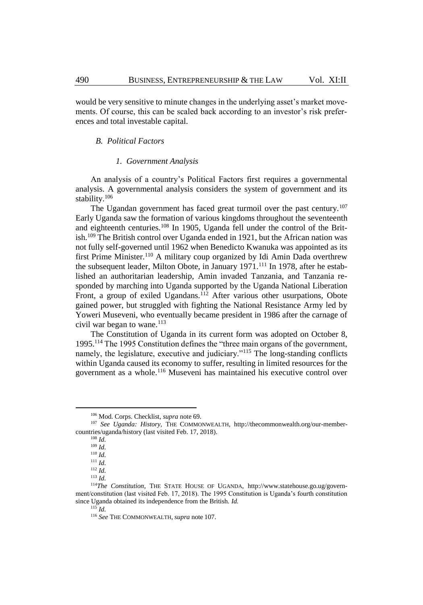would be very sensitive to minute changes in the underlying asset's market movements. Of course, this can be scaled back according to an investor's risk preferences and total investable capital.

# *B. Political Factors*

#### <span id="page-14-0"></span>*1. Government Analysis*

An analysis of a country's Political Factors first requires a governmental analysis. A governmental analysis considers the system of government and its stability.<sup>106</sup>

The Ugandan government has faced great turmoil over the past century.<sup>107</sup> Early Uganda saw the formation of various kingdoms throughout the seventeenth and eighteenth centuries.<sup>108</sup> In 1905, Uganda fell under the control of the British.<sup>109</sup> The British control over Uganda ended in 1921, but the African nation was not fully self-governed until 1962 when Benedicto Kwanuka was appointed as its first Prime Minister.<sup>110</sup> A military coup organized by Idi Amin Dada overthrew the subsequent leader, Milton Obote, in January 1971.<sup>111</sup> In 1978, after he established an authoritarian leadership, Amin invaded Tanzania, and Tanzania responded by marching into Uganda supported by the Uganda National Liberation Front, a group of exiled Ugandans.<sup>112</sup> After various other usurpations, Obote gained power, but struggled with fighting the National Resistance Army led by Yoweri Museveni, who eventually became president in 1986 after the carnage of civil war began to wane.<sup>113</sup>

The Constitution of Uganda in its current form was adopted on October 8, 1995.<sup>114</sup> The 1995 Constitution defines the "three main organs of the government, namely, the legislature, executive and judiciary."<sup>115</sup> The long-standing conflicts within Uganda caused its economy to suffer, resulting in limited resources for the government as a whole.<sup>116</sup> Museveni has maintained his executive control over

<sup>106</sup> Mod. Corps. Checklist, *supra* not[e 69.](#page-9-0)

<sup>107</sup> *See Uganda: History,* THE COMMONWEALTH, http://thecommonwealth.org/our-membercountries/uganda/history (last visited Feb. 17, 2018).

<sup>108</sup> *Id.*

<sup>109</sup> *Id.*

<sup>110</sup> *Id.*

<sup>111</sup> *Id.*

<sup>112</sup> *Id.* 

<sup>113</sup> *Id.* 

<sup>114</sup>*The Constitution*, THE STATE HOUSE OF UGANDA, http://www.statehouse.go.ug/government/constitution (last visited Feb. 17, 2018). The 1995 Constitution is Uganda's fourth constitution since Uganda obtained its independence from the British. *Id.* 

 $^{115}$ *Id.* 

<sup>116</sup> *See* THE COMMONWEALTH, *supra* note [107.](#page-14-0)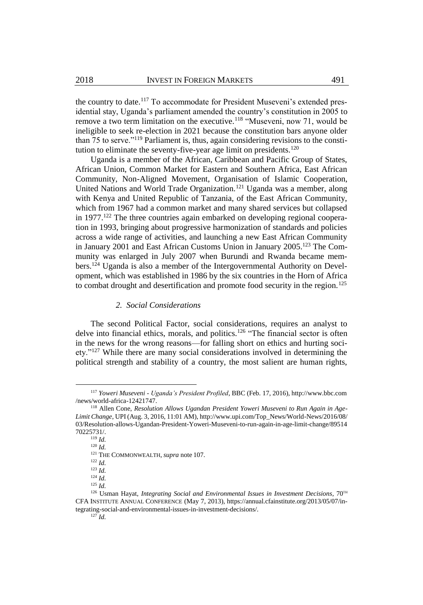the country to date.<sup>117</sup> To accommodate for President Museveni's extended presidential stay, Uganda's parliament amended the country's constitution in 2005 to remove a two term limitation on the executive.<sup>118</sup> "Museveni, now 71, would be ineligible to seek re-election in 2021 because the constitution bars anyone older than 75 to serve."<sup>119</sup> Parliament is, thus, again considering revisions to the constitution to eliminate the seventy-five-year age limit on presidents.<sup>120</sup>

Uganda is a member of the African, Caribbean and Pacific Group of States, African Union, Common Market for Eastern and Southern Africa, East African Community, Non-Aligned Movement, Organisation of Islamic Cooperation, United Nations and World Trade Organization.<sup>121</sup> Uganda was a member, along with Kenya and United Republic of Tanzania, of the East African Community, which from 1967 had a common market and many shared services but collapsed in  $1977$ <sup>122</sup>. The three countries again embarked on developing regional cooperation in 1993, bringing about progressive harmonization of standards and policies across a wide range of activities, and launching a new East African Community in January 2001 and East African Customs Union in January 2005.<sup>123</sup> The Community was enlarged in July 2007 when Burundi and Rwanda became members.<sup>124</sup> Uganda is also a member of the Intergovernmental Authority on Development, which was established in 1986 by the six countries in the Horn of Africa to combat drought and desertification and promote food security in the region.<sup>125</sup>

# *2. Social Considerations*

The second Political Factor, social considerations, requires an analyst to delve into financial ethics, morals, and politics.<sup>126</sup> "The financial sector is often in the news for the wrong reasons—for falling short on ethics and hurting society."<sup>127</sup> While there are many social considerations involved in determining the political strength and stability of a country, the most salient are human rights,

<sup>117</sup> *Yoweri Museveni - Uganda's President Profiled*, BBC (Feb. 17, 2016), http://www.bbc.com /news/world-africa-12421747.

<sup>118</sup> Allen Cone, *Resolution Allows Ugandan President Yoweri Museveni to Run Again in Age-Limit Change*, UPI (Aug. 3, 2016, 11:01 AM), http://www.upi.com/Top\_News/World-News/2016/08/ 03/Resolution-allows-Ugandan-President-Yoweri-Museveni-to-run-again-in-age-limit-change/89514 70225731/.

<sup>119</sup> *Id.*

 $120$  *Id.* 

<sup>121</sup> THE COMMONWEALTH, *supra* note [107.](#page-14-0)

<sup>122</sup> *Id.*

<sup>123</sup> *Id.*

<sup>124</sup> *Id.* <sup>125</sup> *Id.*

<sup>126</sup> Usman Hayat, *Integrating Social and Environmental Issues in Investment Decisions*, 70<sup>TH</sup> CFA INSTITUTE ANNUAL CONFERENCE (May 7, 2013), https://annual.cfainstitute.org/2013/05/07/integrating-social-and-environmental-issues-in-investment-decisions/.  $^{127}$ *Id.*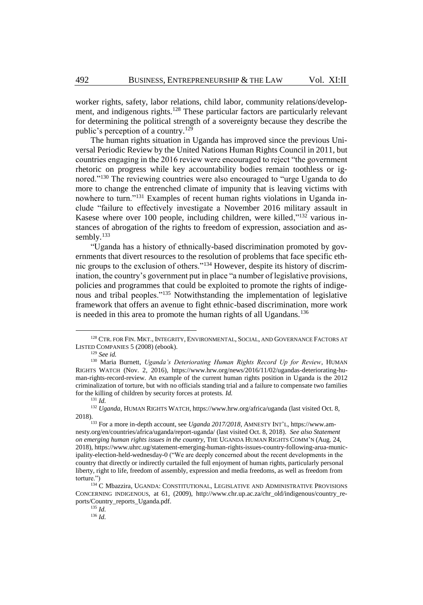worker rights, safety, labor relations, child labor, community relations/development, and indigenous rights.<sup>128</sup> These particular factors are particularly relevant for determining the political strength of a sovereignty because they describe the public's perception of a country.<sup>129</sup>

The human rights situation in Uganda has improved since the previous Universal Periodic Review by the United Nations Human Rights Council in 2011, but countries engaging in the 2016 review were encouraged to reject "the government rhetoric on progress while key accountability bodies remain toothless or ignored."<sup>130</sup> The reviewing countries were also encouraged to "urge Uganda to do more to change the entrenched climate of impunity that is leaving victims with nowhere to turn."<sup>131</sup> Examples of recent human rights violations in Uganda include "failure to effectively investigate a November 2016 military assault in Kasese where over 100 people, including children, were killed," $132$  various instances of abrogation of the rights to freedom of expression, association and assembly.<sup>133</sup>

"Uganda has a history of ethnically-based discrimination promoted by governments that divert resources to the resolution of problems that face specific ethnic groups to the exclusion of others."<sup>134</sup> However, despite its history of discrimination, the country's government put in place "a number of legislative provisions, policies and programmes that could be exploited to promote the rights of indigenous and tribal peoples."<sup>135</sup> Notwithstanding the implementation of legislative framework that offers an avenue to fight ethnic-based discrimination, more work is needed in this area to promote the human rights of all Ugandans.<sup>136</sup>

 $\overline{a}$ 

<sup>135</sup> *Id.*

<sup>136</sup> *Id.*

<sup>&</sup>lt;sup>128</sup> CTR. FOR FIN. MKT., INTEGRITY, ENVIRONMENTAL, SOCIAL, AND GOVERNANCE FACTORS AT LISTED COMPANIES 5 (2008) (ebook).

<sup>129</sup> *See id.*

<sup>130</sup> Maria Burnett, *Uganda's Deteriorating Human Rights Record Up for Review*, HUMAN RIGHTS WATCH (Nov. 2, 2016), https://www.hrw.org/news/2016/11/02/ugandas-deteriorating-human-rights-record-review. An example of the current human rights position in Uganda is the 2012 criminalization of torture, but with no officials standing trial and a failure to compensate two families for the killing of children by security forces at protests. *Id.* <sup>131</sup> *Id.*

<sup>132</sup> *Uganda*, HUMAN RIGHTS WATCH, https://www.hrw.org/africa/uganda (last visited Oct. 8, 2018).

<sup>133</sup> For a more in-depth account, see *Uganda 2017/2018*, AMNESTY INT'L, https://www.amnesty.org/en/countries/africa/uganda/report-uganda/ (last visited Oct. 8, 2018). *See also Statement on emerging human rights issues in the country*, THE UGANDA HUMAN RIGHTS COMM'N (Aug. 24, 2018), https://www.uhrc.ug/statement-emerging-human-rights-issues-country-following-arua-municipality-election-held-wednesday-0 ("We are deeply concerned about the recent developments in the country that directly or indirectly curtailed the full enjoyment of human rights, particularly personal liberty, right to life, freedom of assembly, expression and media freedoms, as well as freedom from torture.")

 $^{134}\rm \stackrel{\textstyle <}{\textstyle \sim}$  C Mbazzira, UGANDA: CONSTITUTIONAL, LEGISLATIVE AND ADMINISTRATIVE PROVISIONS CONCERNING INDIGENOUS, at 61, (2009), http://www.chr.up.ac.za/chr\_old/indigenous/country\_reports/Country\_reports\_Uganda.pdf.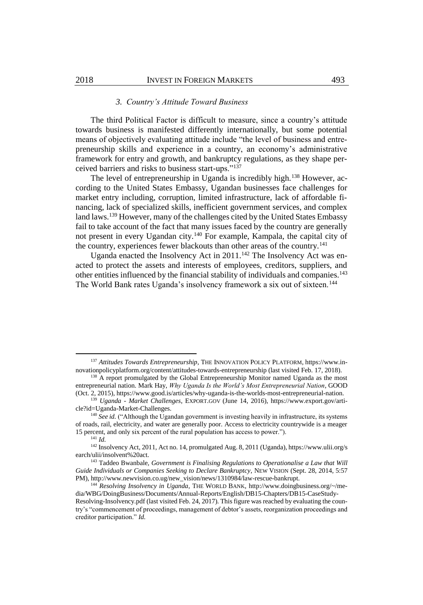# *3. Country's Attitude Toward Business*

The third Political Factor is difficult to measure, since a country's attitude towards business is manifested differently internationally, but some potential means of objectively evaluating attitude include "the level of business and entrepreneurship skills and experience in a country, an economy's administrative framework for entry and growth, and bankruptcy regulations, as they shape perceived barriers and risks to business start-ups."<sup>137</sup>

The level of entrepreneurship in Uganda is incredibly high.<sup>138</sup> However, according to the United States Embassy, Ugandan businesses face challenges for market entry including, corruption, limited infrastructure, lack of affordable financing, lack of specialized skills, inefficient government services, and complex land laws.<sup>139</sup> However, many of the challenges cited by the United States Embassy fail to take account of the fact that many issues faced by the country are generally not present in every Ugandan city.<sup>140</sup> For example, Kampala, the capital city of the country, experiences fewer blackouts than other areas of the country.<sup>141</sup>

Uganda enacted the Insolvency Act in  $2011$ .<sup>142</sup> The Insolvency Act was enacted to protect the assets and interests of employees, creditors, suppliers, and other entities influenced by the financial stability of individuals and companies.<sup>143</sup> The World Bank rates Uganda's insolvency framework a six out of sixteen.<sup>144</sup>

<sup>137</sup> Attitudes Towards Entrepreneurship, THE INNOVATION POLICY PLATFORM, https://www.innovationpolicyplatform.org/content/attitudes-towards-entrepreneurship (last visited Feb. 17, 2018).

<sup>&</sup>lt;sup>138</sup> A report promulgated by the Global Entrepreneurship Monitor named Uganda as the most entrepreneurial nation. Mark Hay, *Why Uganda Is the World's Most Entrepreneurial Nation*, GOOD (Oct. 2, 2015), https://www.good.is/articles/why-uganda-is-the-worlds-most-entrepreneurial-nation.

<sup>139</sup> *Uganda - Market Challenges*, EXPORT.GOV (June 14, 2016), https://www.export.gov/article?id=Uganda-Market-Challenges.

<sup>&</sup>lt;sup>140</sup> See id. ("Although the Ugandan government is investing heavily in infrastructure, its systems of roads, rail, electricity, and water are generally poor. Access to electricity countrywide is a meager 15 percent, and only six percent of the rural population has access to power.").

<sup>141</sup> *Id.*

<sup>142</sup> Insolvency Act, 2011, Act no. 14, promulgated Aug. 8, 2011 (Uganda), https://www.ulii.org/s earch/ulii/insolvent%20act.

<sup>143</sup> Taddeo Bwanbale, *Government is Finalising Regulations to Operationalise a Law that Will Guide Individuals or Companies Seeking to Declare Bankruptcy*, NEW VISION (Sept. 28, 2014, 5:57 PM), http://www.newvision.co.ug/new\_vision/news/1310984/law-rescue-bankrupt.

<sup>144</sup> *Resolving Insolvency in Uganda*, THE WORLD BANK, http://www.doingbusiness.org/~/media/WBG/DoingBusiness/Documents/Annual-Reports/English/DB15-Chapters/DB15-CaseStudy-Resolving-Insolvency.pdf (last visited Feb. 24, 2017). This figure was reached by evaluating the country's "commencement of proceedings, management of debtor's assets, reorganization proceedings and creditor participation." *Id.*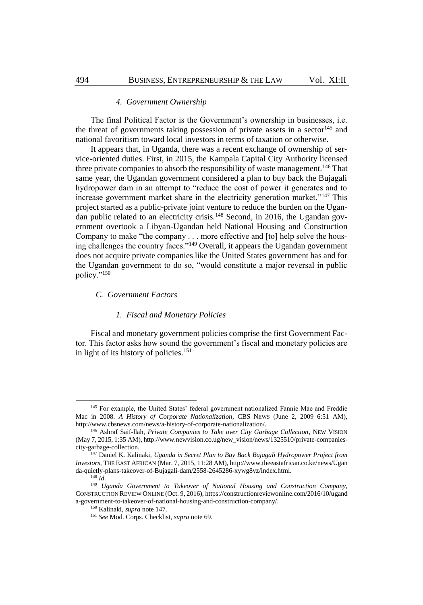# <span id="page-18-0"></span>*4. Government Ownership*

The final Political Factor is the Government's ownership in businesses, i.e. the threat of governments taking possession of private assets in a sector<sup>145</sup> and national favoritism toward local investors in terms of taxation or otherwise.

It appears that, in Uganda, there was a recent exchange of ownership of service-oriented duties. First, in 2015, the Kampala Capital City Authority licensed three private companies to absorb the responsibility of waste management.<sup>146</sup> That same year, the Ugandan government considered a plan to buy back the Bujagali hydropower dam in an attempt to "reduce the cost of power it generates and to increase government market share in the electricity generation market."<sup>147</sup> This project started as a public-private joint venture to reduce the burden on the Ugandan public related to an electricity crisis.<sup>148</sup> Second, in 2016, the Ugandan government overtook a Libyan-Ugandan held National Housing and Construction Company to make "the company . . . more effective and [to] help solve the housing challenges the country faces."<sup>149</sup> Overall, it appears the Ugandan government does not acquire private companies like the United States government has and for the Ugandan government to do so, "would constitute a major reversal in public policy."<sup>150</sup>

# *C. Government Factors*

#### *1. Fiscal and Monetary Policies*

Fiscal and monetary government policies comprise the first Government Factor. This factor asks how sound the government's fiscal and monetary policies are in light of its history of policies.<sup>151</sup>

<sup>&</sup>lt;sup>145</sup> For example, the United States' federal government nationalized Fannie Mae and Freddie Mac in 2008. *A History of Corporate Nationalization*, CBS NEWS (June 2, 2009 6:51 AM), http://www.cbsnews.com/news/a-history-of-corporate-nationalization/.

<sup>146</sup> Ashraf Saif-llah, *Private Companies to Take over City Garbage Collection*, NEW VISION (May 7, 2015, 1:35 AM), http://www.newvision.co.ug/new\_vision/news/1325510/private-companiescity-garbage-collection.

<sup>147</sup> Daniel K. Kalinaki, *Uganda in Secret Plan to Buy Back Bujagali Hydropower Project from Investors*, THE EAST AFRICAN (Mar. 7, 2015, 11:28 AM), http://www.theeastafrican.co.ke/news/Ugan da-quietly-plans-takeover-of-Bujagali-dam/2558-2645286-xywg8vz/index.html.

<sup>148</sup> *Id.*

<sup>149</sup> *Uganda Government to Takeover of National Housing and Construction Company*, CONSTRUCTION REVIEW ONLINE (Oct. 9, 2016), https://constructionreviewonline.com/2016/10/ugand a-government-to-takeover-of-national-housing-and-construction-company/.

<sup>150</sup> Kalinaki, *supra* not[e 147.](#page-18-0)

<sup>151</sup> *See* Mod. Corps. Checklist, *supra* not[e 69.](#page-9-0)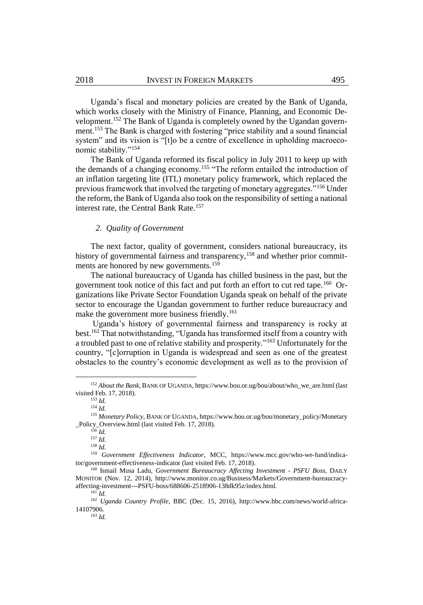Uganda's fiscal and monetary policies are created by the Bank of Uganda, which works closely with the Ministry of Finance, Planning, and Economic Development.<sup>152</sup> The Bank of Uganda is completely owned by the Ugandan government.<sup>153</sup> The Bank is charged with fostering "price stability and a sound financial system" and its vision is "[t]o be a centre of excellence in upholding macroeconomic stability."<sup>154</sup>

The Bank of Uganda reformed its fiscal policy in July 2011 to keep up with the demands of a changing economy.<sup>155</sup> "The reform entailed the introduction of an inflation targeting lite (ITL) monetary policy framework, which replaced the previous framework that involved the targeting of monetary aggregates."<sup>156</sup> Under the reform, the Bank of Uganda also took on the responsibility of setting a national interest rate, the Central Bank Rate.<sup>157</sup>

# <span id="page-19-0"></span>*2. Quality of Government*

The next factor, quality of government, considers national bureaucracy, its history of governmental fairness and transparency,<sup>158</sup> and whether prior commitments are honored by new governments.<sup>159</sup>

The national bureaucracy of Uganda has chilled business in the past, but the government took notice of this fact and put forth an effort to cut red tape.<sup>160</sup> Organizations like Private Sector Foundation Uganda speak on behalf of the private sector to encourage the Ugandan government to further reduce bureaucracy and make the government more business friendly.<sup>161</sup>

Uganda's history of governmental fairness and transparency is rocky at best.<sup>162</sup> That notwithstanding, "Uganda has transformed itself from a country with a troubled past to one of relative stability and prosperity."<sup>163</sup> Unfortunately for the country, "[c]orruption in Uganda is widespread and seen as one of the greatest obstacles to the country's economic development as well as to the provision of

 $\overline{a}$ 

<sup>158</sup> *Id.*

<sup>152</sup> *About the Bank*, BANK OF UGANDA, https://www.bou.or.ug/bou/about/who\_we\_are.html (last visited Feb. 17, 2018).

<sup>153</sup> *Id.* <sup>154</sup> *Id.* 

<sup>155</sup> *Monetary Policy,* BANK OF UGANDA, https://www.bou.or.ug/bou/monetary\_policy/Monetary \_Policy\_Overview.html (last visited Feb. 17, 2018).

<sup>156</sup> *Id.*

 $^{157}$  *Id.* 

<sup>159</sup> *Government Effectiveness Indicator*, MCC, https://www.mcc.gov/who-we-fund/indicator/government-effectiveness-indicator (last visited Feb. 17, 2018).

<sup>160</sup> Ismail Musa Ladu, *Government Bureaucracy Affecting Investment - PSFU Boss*, DAILY MONITOR (Nov. 12, 2014), http://www.monitor.co.ug/Business/Markets/Government-bureaucracyaffecting-investment---PSFU-boss/688606-2518906-138dk95z/index.html.

 $^{161}$ *Id.* 

<sup>162</sup> *Uganda Country Profile,* BBC (Dec. 15, 2016), http://www.bbc.com/news/world-africa-14107906. <sup>163</sup> *Id.*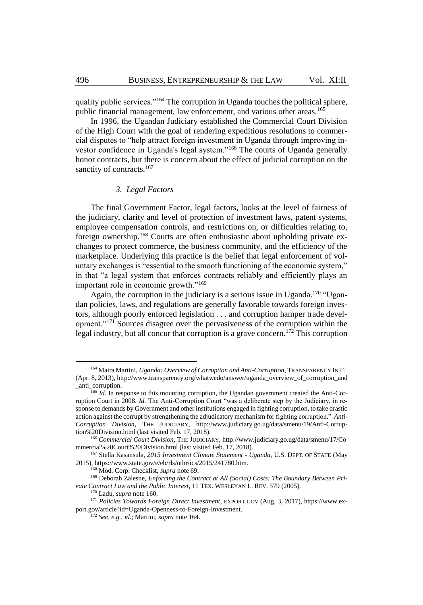<span id="page-20-0"></span>quality public services."<sup>164</sup> The corruption in Uganda touches the political sphere, public financial management, law enforcement, and various other areas.<sup>165</sup>

In 1996, the Ugandan Judiciary established the Commercial Court Division of the High Court with the goal of rendering expeditious resolutions to commercial disputes to "help attract foreign investment in Uganda through improving investor confidence in Uganda's legal system."<sup>166</sup> The courts of Uganda generally honor contracts, but there is concern about the effect of judicial corruption on the sanctity of contracts.<sup>167</sup>

#### *3. Legal Factors*

The final Government Factor, legal factors, looks at the level of fairness of the judiciary, clarity and level of protection of investment laws, patent systems, employee compensation controls, and restrictions on, or difficulties relating to, foreign ownership.<sup>168</sup> Courts are often enthusiastic about upholding private exchanges to protect commerce, the business community, and the efficiency of the marketplace. Underlying this practice is the belief that legal enforcement of voluntary exchanges is "essential to the smooth functioning of the economic system," in that "a legal system that enforces contracts reliably and efficiently plays an important role in economic growth."<sup>169</sup>

Again, the corruption in the judiciary is a serious issue in Uganda.<sup>170</sup> "Ugandan policies, laws, and regulations are generally favorable towards foreign investors, although poorly enforced legislation . . . and corruption hamper trade development."<sup>171</sup> Sources disagree over the pervasiveness of the corruption within the legal industry, but all concur that corruption is a grave concern.<sup>172</sup> This corruption

<sup>164</sup> Maira Martini, *Uganda: Overview of Corruption and Anti-Corruption*, TRANSPARENCY INT'L (Apr. 8, 2013), http://www.transparency.org/whatwedo/answer/uganda\_overview\_of\_corruption\_and \_anti\_corruption.

<sup>&</sup>lt;sup>165</sup> *Id.* In response to this mounting corruption, the Ugandan government created the Anti-Corruption Court in 2008. *Id.* The Anti-Corruption Court "was a deliberate step by the Judiciary, in response to demands by Government and other institutions engaged in fighting corruption, to take drastic action against the corrupt by strengthening the adjudicatory mechanism for fighting corruption." *Anti-Corruption Division*, THE JUDICIARY, http://www.judiciary.go.ug/data/smenu/19/Anti-Corruption%20Division.html (last visited Feb. 17, 2018).

<sup>166</sup> *Commercial Court Division*, THE JUDICIARY, http://www.judiciary.go.ug/data/smenu/17/Co mmercial%20Court%20Division.html (last visited Feb. 17, 2018).

<sup>167</sup> Stella Kasansula, *2015 Investment Climate Statement - Uganda*, U.S. DEPT. OF STATE (May 2015), https://www.state.gov/e/eb/rls/othr/ics/2015/241780.htm.

<sup>168</sup> Mod. Corp. Checklist, *supra* not[e 69.](#page-9-0)

<sup>&</sup>lt;sup>169</sup> Deborah Zalesne, *Enforcing the Contract at All (Social) Costs: The Boundary Between Private Contract Law and the Public Interest*, 11 TEX. WESLEYAN L. REV. 579 (2005).

<sup>170</sup> Ladu, *supra* not[e 160.](#page-19-0)

<sup>171</sup> *Policies Towards Foreign Direct Investment*, EXPORT.GOV (Aug. 3, 2017), https://www.export.gov/article?id=Uganda-Openness-to-Foreign-Investment.

<sup>172</sup> *See, e.g.*, *id.*; Martini, *supra* not[e 164.](#page-20-0)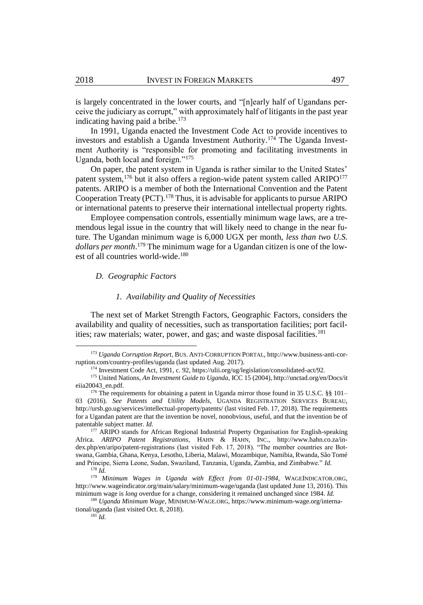is largely concentrated in the lower courts, and "[n]early half of Ugandans perceive the judiciary as corrupt," with approximately half of litigants in the past year indicating having paid a bribe.<sup>173</sup>

In 1991, Uganda enacted the Investment Code Act to provide incentives to investors and establish a Uganda Investment Authority.<sup>174</sup> The Uganda Investment Authority is "responsible for promoting and facilitating investments in Uganda, both local and foreign."<sup>175</sup>

On paper, the patent system in Uganda is rather similar to the United States' patent system,<sup>176</sup> but it also offers a region-wide patent system called ARIPO<sup>177</sup> patents. ARIPO is a member of both the International Convention and the Patent Cooperation Treaty (PCT).<sup>178</sup> Thus, it is advisable for applicants to pursue ARIPO or international patents to preserve their international intellectual property rights.

Employee compensation controls, essentially minimum wage laws, are a tremendous legal issue in the country that will likely need to change in the near future. The Ugandan minimum wage is 6,000 UGX per month, *less than two U.S. dollars per month*. <sup>179</sup> The minimum wage for a Ugandan citizen is one of the lowest of all countries world-wide.<sup>180</sup>

# *D. Geographic Factors*

# *1. Availability and Quality of Necessities*

The next set of Market Strength Factors, Geographic Factors, considers the availability and quality of necessities, such as transportation facilities; port facilities; raw materials; water, power, and gas; and waste disposal facilities.<sup>181</sup>

<sup>173</sup> *Uganda Corruption Report*, BUS. ANTI-CORRUPTION PORTAL, http://www.business-anti-corruption.com/country-profiles/uganda (last updated Aug. 2017).

<sup>174</sup> Investment Code Act, 1991, c. 92, https://ulii.org/ug/legislation/consolidated-act/92.

<sup>175</sup> United Nations, *An Investment Guide to Uganda*, ICC 15 (2004), http://unctad.org/en/Docs/it eiia20043\_en.pdf.

<sup>&</sup>lt;sup>176</sup> The requirements for obtaining a patent in Uganda mirror those found in 35 U.S.C. §§ 101– 03 (2016). *See Patents and Utility Models*, UGANDA REGISTRATION SERVICES BUREAU, http://ursb.go.ug/services/intellectual-property/patents/ (last visited Feb. 17, 2018). The requirements for a Ugandan patent are that the invention be novel, nonobvious, useful, and that the invention be of patentable subject matter. *Id.*

<sup>&</sup>lt;sup>177</sup> ARIPO stands for African Regional Industrial Property Organisation for English-speaking Africa. *ARIPO Patent Registrations*, HAHN & HAHN, INC., http://www.hahn.co.za/index.php/en/aripo/patent-registrations (last visited Feb. 17, 2018). "The member countries are Botswana, Gambia, Ghana, Kenya, Lesotho, Liberia, Malawi, Mozambique, Namibia, Rwanda, São Tomé and Principe, Sierra Leone, Sudan, Swaziland, Tanzania, Uganda, Zambia, and Zimbabwe." *Id.* <sup>178</sup> *Id.*

<sup>179</sup> *Minimum Wages in Uganda with Effect from 01-01-1984*, WAGEINDICATOR.ORG,

http://www.wageindicator.org/main/salary/minimum-wage/uganda (last updated June 13, 2016). This minimum wage is *long* overdue for a change, considering it remained unchanged since 1984. *Id.*

<sup>180</sup> *Uganda Minimum Wage*, MINIMUM-WAGE.ORG, https://www.minimum-wage.org/international/uganda (last visited Oct. 8, 2018).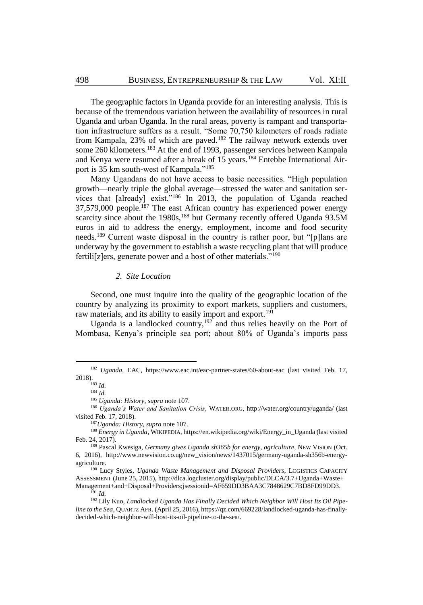The geographic factors in Uganda provide for an interesting analysis. This is because of the tremendous variation between the availability of resources in rural Uganda and urban Uganda. In the rural areas, poverty is rampant and transportation infrastructure suffers as a result. "Some 70,750 kilometers of roads radiate from Kampala, 23% of which are paved.<sup>182</sup> The railway network extends over some 260 kilometers.<sup>183</sup> At the end of 1993, passenger services between Kampala and Kenya were resumed after a break of  $15$  years.<sup>184</sup> Entebbe International Airport is 35 km south-west of Kampala."<sup>185</sup>

Many Ugandans do not have access to basic necessities. "High population growth—nearly triple the global average—stressed the water and sanitation services that [already] exist."<sup>186</sup> In 2013, the population of Uganda reached 37,579,000 people.<sup>187</sup> The east African country has experienced power energy scarcity since about the 1980s,<sup>188</sup> but Germany recently offered Uganda 93.5M euros in aid to address the energy, employment, income and food security needs.<sup>189</sup> Current waste disposal in the country is rather poor, but "[p]lans are underway by the government to establish a waste recycling plant that will produce fertili[z]ers, generate power and a host of other materials."<sup>190</sup>

### *2. Site Location*

Second, one must inquire into the quality of the geographic location of the country by analyzing its proximity to export markets, suppliers and customers, raw materials, and its ability to easily import and export.<sup>191</sup>

Uganda is a landlocked country,<sup>192</sup> and thus relies heavily on the Port of Mombasa, Kenya's principle sea port; about 80% of Uganda's imports pass

<sup>&</sup>lt;sup>182</sup> *Uganda*, EAC, https://www.eac.int/eac-partner-states/60-about-eac (last visited Feb. 17, 2018).

<sup>183</sup> *Id.*

<sup>184</sup> *Id.*

<sup>185</sup> *Uganda: History*, *supra* not[e 107.](#page-14-0)

<sup>186</sup> *Uganda's Water and Sanitation Crisis*, WATER.ORG, http://water.org/country/uganda/ (last visited Feb. 17, 2018).

<sup>187</sup>*Uganda: History*, *supra* not[e 107.](#page-14-0)

<sup>188</sup> *Energy in Uganda*, WIKIPEDIA, https://en.wikipedia.org/wiki/Energy\_in\_Uganda (last visited Feb. 24, 2017).

<sup>189</sup> Pascal Kwesiga, *Germany gives Uganda sh365b for energy, agriculture*, NEW VISION (Oct. 6, 2016), http://www.newvision.co.ug/new\_vision/news/1437015/germany-uganda-sh356b-energyagriculture.

<sup>190</sup> Lucy Styles, *Uganda Waste Management and Disposal Providers*, LOGISTICS CAPACITY ASSESSMENT (June 25, 2015), http://dlca.logcluster.org/display/public/DLCA/3.7+Uganda+Waste+ Management+and+Disposal+Providers;jsessionid=AF659DD3BAA3C7848629C7BD8FD99DD3. <sup>191</sup> *Id.* 

<sup>&</sup>lt;sup>192</sup> Lily Kuo, *Landlocked Uganda Has Finally Decided Which Neighbor Will Host Its Oil Pipeline to the Sea*, QUARTZ AFR. (April 25, 2016), https://qz.com/669228/landlocked-uganda-has-finallydecided-which-neighbor-will-host-its-oil-pipeline-to-the-sea/.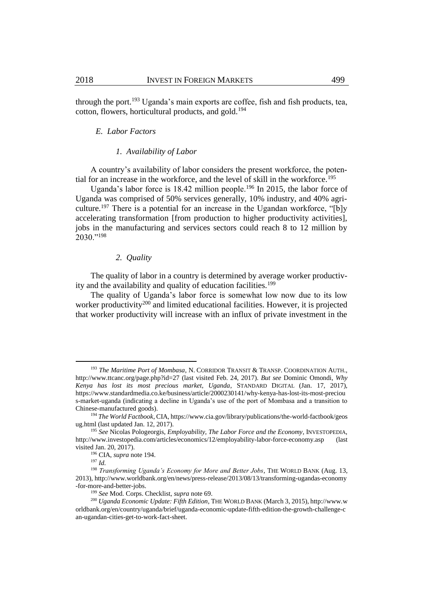through the port.<sup>193</sup> Uganda's main exports are coffee, fish and fish products, tea, cotton, flowers, horticultural products, and gold.<sup>194</sup>

#### <span id="page-23-2"></span>*E. Labor Factors*

#### <span id="page-23-0"></span>*1. Availability of Labor*

A country's availability of labor considers the present workforce, the potential for an increase in the workforce, and the level of skill in the workforce.<sup>195</sup>

Uganda's labor force is 18.42 million people.<sup>196</sup> In 2015, the labor force of Uganda was comprised of 50% services generally, 10% industry, and 40% agriculture.<sup>197</sup> There is a potential for an increase in the Ugandan workforce, "[b]y accelerating transformation [from production to higher productivity activities], jobs in the manufacturing and services sectors could reach 8 to 12 million by 2030."<sup>198</sup>

# <span id="page-23-1"></span>*2. Quality*

The quality of labor in a country is determined by average worker productivity and the availability and quality of education facilities.<sup>199</sup>

The quality of Uganda's labor force is somewhat low now due to its low worker productivity<sup>200</sup> and limited educational facilities. However, it is projected that worker productivity will increase with an influx of private investment in the

<sup>193</sup> *The Maritime Port of Mombasa*, N. CORRIDOR TRANSIT & TRANSP. COORDINATION AUTH., http://www.ttcanc.org/page.php?id=27 (last visited Feb. 24, 2017). *But see* Dominic Omondi, *Why Kenya has lost its most precious market, Uganda*, STANDARD DIGITAL (Jan. 17, 2017), https://www.standardmedia.co.ke/business/article/2000230141/why-kenya-has-lost-its-most-preciou s-market-uganda (indicating a decline in Uganda's use of the port of Mombasa and a transition to Chinese-manufactured goods).

<sup>194</sup> *The World Factbook*, CIA, https://www.cia.gov/library/publications/the-world-factbook/geos ug.html (last updated Jan. 12, 2017).

<sup>195</sup> *See* Nicolas Pologeorgis, *Employability, The Labor Force and the Economy*, INVESTOPEDIA, http://www.investopedia.com/articles/economics/12/employability-labor-force-economy.asp (last visited Jan. 20, 2017).

<sup>196</sup> CIA, *supra* not[e 194.](#page-23-0)

<sup>197</sup> *Id.*

<sup>198</sup> *Transforming Uganda's Economy for More and Better Jobs*, THE WORLD BANK (Aug. 13, 2013), http://www.worldbank.org/en/news/press-release/2013/08/13/transforming-ugandas-economy -for-more-and-better-jobs.

<sup>199</sup> *See* Mod. Corps. Checklist, *supra* not[e 69.](#page-9-0)

<sup>200</sup> *Uganda Economic Update: Fifth Edition*, THE WORLD BANK (March 3, 2015), http://www.w orldbank.org/en/country/uganda/brief/uganda-economic-update-fifth-edition-the-growth-challenge-c an-ugandan-cities-get-to-work-fact-sheet.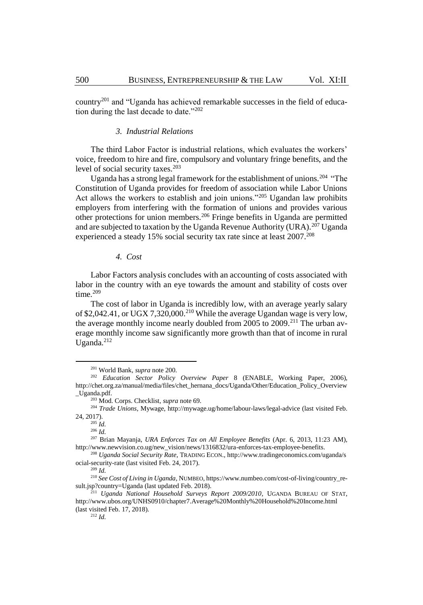country<sup>201</sup> and "Uganda has achieved remarkable successes in the field of education during the last decade to date."<sup>202</sup>

# *3. Industrial Relations*

The third Labor Factor is industrial relations, which evaluates the workers' voice, freedom to hire and fire, compulsory and voluntary fringe benefits, and the level of social security taxes.<sup>203</sup>

Uganda has a strong legal framework for the establishment of unions.<sup>204</sup> "The Constitution of Uganda provides for freedom of association while Labor Unions Act allows the workers to establish and join unions."<sup>205</sup> Ugandan law prohibits employers from interfering with the formation of unions and provides various other protections for union members.<sup>206</sup> Fringe benefits in Uganda are permitted and are subjected to taxation by the Uganda Revenue Authority (URA).<sup>207</sup> Uganda experienced a steady 15% social security tax rate since at least 2007.<sup>208</sup>

# <span id="page-24-0"></span>*4. Cost*

Labor Factors analysis concludes with an accounting of costs associated with labor in the country with an eye towards the amount and stability of costs over time.<sup>209</sup>

The cost of labor in Uganda is incredibly low, with an average yearly salary of \$2,042.41, or UGX 7,320,000.<sup>210</sup> While the average Ugandan wage is very low, the average monthly income nearly doubled from 2005 to 2009.<sup>211</sup> The urban average monthly income saw significantly more growth than that of income in rural Uganda.<sup>212</sup>

<sup>201</sup> World Bank, *supra* not[e 200.](#page-23-1)

<sup>202</sup> *Education Sector Policy Overview Paper* 8 (ENABLE, Working Paper, 2006), http://chet.org.za/manual/media/files/chet\_hernana\_docs/Uganda/Other/Education\_Policy\_Overview \_Uganda.pdf.

<sup>203</sup> Mod. Corps. Checklist, *supra* not[e 69.](#page-9-0)

<sup>204</sup> *Trade Unions*, Mywage, http://mywage.ug/home/labour-laws/legal-advice (last visited Feb. 24, 2017).

<sup>205</sup> *Id.*

<sup>206</sup> *Id.*

<sup>207</sup> Brian Mayanja, *URA Enforces Tax on All Employee Benefits* (Apr. 6, 2013, 11:23 AM), http://www.newvision.co.ug/new\_vision/news/1316832/ura-enforces-tax-employee-benefits.

<sup>208</sup> *Uganda Social Security Rate*, TRADING ECON., http://www.tradingeconomics.com/uganda/s ocial-security-rate (last visited Feb. 24, 2017).

<sup>209</sup> *Id.* 

<sup>210</sup> *See Cost of Living in Uganda*, NUMBEO, https://www.numbeo.com/cost-of-living/country\_result.jsp?country=Uganda (last updated Feb. 2018).

<sup>&</sup>lt;sup>11</sup> *Uganda National Household Surveys Report 2009/2010*, UGANDA BUREAU OF STAT, http://www.ubos.org/UNHS0910/chapter7.Average%20Monthly%20Household%20Income.html (last visited Feb. 17, 2018).

<sup>212</sup> *Id.*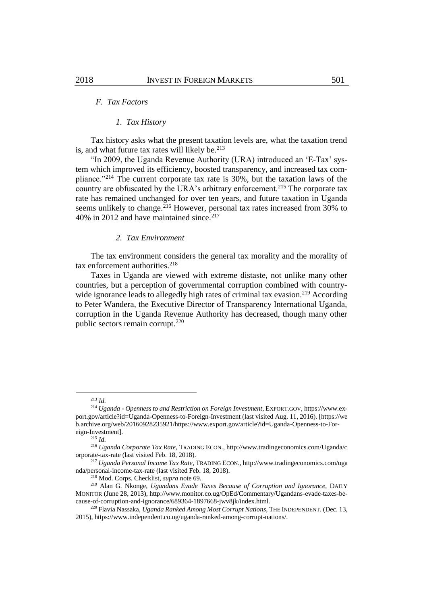# *F. Tax Factors*

# *1. Tax History*

Tax history asks what the present taxation levels are, what the taxation trend is, and what future tax rates will likely be. $213$ 

"In 2009, the Uganda Revenue Authority (URA) introduced an 'E-Tax' system which improved its efficiency, boosted transparency, and increased tax compliance."<sup>214</sup> The current corporate tax rate is 30%, but the taxation laws of the country are obfuscated by the URA's arbitrary enforcement.<sup>215</sup> The corporate tax rate has remained unchanged for over ten years, and future taxation in Uganda seems unlikely to change.<sup>216</sup> However, personal tax rates increased from 30% to 40% in 2012 and have maintained since.<sup>217</sup>

# *2. Tax Environment*

The tax environment considers the general tax morality and the morality of tax enforcement authorities. $218$ 

Taxes in Uganda are viewed with extreme distaste, not unlike many other countries, but a perception of governmental corruption combined with countrywide ignorance leads to allegedly high rates of criminal tax evasion.<sup>219</sup> According to Peter Wandera, the Executive Director of Transparency International Uganda, corruption in the Uganda Revenue Authority has decreased, though many other public sectors remain corrupt.<sup>220</sup>

<sup>213</sup> *Id.*

<sup>214</sup> *Uganda - Openness to and Restriction on Foreign Investment*, EXPORT.GOV, https://www.export.gov/article?id=Uganda-Openness-to-Foreign-Investment (last visited Aug. 11, 2016). [https://we b.archive.org/web/20160928235921/https://www.export.gov/article?id=Uganda-Openness-to-Foreign-Investment].

<sup>215</sup> *Id.*

<sup>216</sup> *Uganda Corporate Tax Rate*, TRADING ECON., http://www.tradingeconomics.com/Uganda/c orporate-tax-rate (last visited Feb. 18, 2018).

<sup>217</sup> *Uganda Personal Income Tax Rate*, TRADING ECON., http://www.tradingeconomics.com/uga nda/personal-income-tax-rate (last visited Feb. 18, 2018).

<sup>218</sup> Mod. Corps. Checklist, *supra* not[e 69.](#page-9-0)

<sup>219</sup> Alan G. Nkonge, *Ugandans Evade Taxes Because of Corruption and Ignorance*, DAILY MONITOR (June 28, 2013), http://www.monitor.co.ug/OpEd/Commentary/Ugandans-evade-taxes-because-of-corruption-and-ignorance/689364-1897668-jwv8jk/index.html.

<sup>220</sup> Flavia Nassaka, *Uganda Ranked Among Most Corrupt Nations*, THE INDEPENDENT. (Dec. 13, 2015), https://www.independent.co.ug/uganda-ranked-among-corrupt-nations/.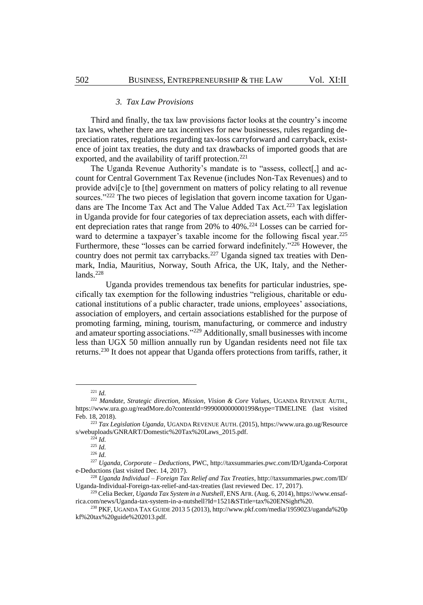# *3. Tax Law Provisions*

Third and finally, the tax law provisions factor looks at the country's income tax laws, whether there are tax incentives for new businesses, rules regarding depreciation rates, regulations regarding tax-loss carryforward and carryback, existence of joint tax treaties, the duty and tax drawbacks of imported goods that are exported, and the availability of tariff protection.<sup>221</sup>

The Uganda Revenue Authority's mandate is to "assess, collect[,] and account for Central Government Tax Revenue (includes Non-Tax Revenues) and to provide advi[c]e to [the] government on matters of policy relating to all revenue sources."<sup>222</sup> The two pieces of legislation that govern income taxation for Ugandans are The Income Tax Act and The Value Added Tax Act.<sup>223</sup> Tax legislation in Uganda provide for four categories of tax depreciation assets, each with different depreciation rates that range from 20% to 40%.<sup>224</sup> Losses can be carried forward to determine a taxpayer's taxable income for the following fiscal year.<sup>225</sup> Furthermore, these "losses can be carried forward indefinitely."<sup>226</sup> However, the country does not permit tax carrybacks.<sup>227</sup> Uganda signed tax treaties with Denmark, India, Mauritius, Norway, South Africa, the UK, Italy, and the Nether $lands.<sup>228</sup>$ 

Uganda provides tremendous tax benefits for particular industries, specifically tax exemption for the following industries "religious, charitable or educational institutions of a public character, trade unions, employees' associations, association of employers, and certain associations established for the purpose of promoting farming, mining, tourism, manufacturing, or commerce and industry and amateur sporting associations."<sup>229</sup> Additionally, small businesses with income less than UGX 50 million annually run by Ugandan residents need not file tax returns.<sup>230</sup> It does not appear that Uganda offers protections from tariffs, rather, it

<span id="page-26-0"></span><sup>221</sup> *Id.*

<sup>222</sup> *Mandate, Strategic direction, Mission, Vision & Core Values*, UGANDA REVENUE AUTH., https://www.ura.go.ug/readMore.do?contentId=999000000000199&type=TIMELINE (last visited Feb. 18, 2018).

<sup>223</sup> *Tax Legislation Uganda*, UGANDA REVENUE AUTH. (2015), https://www.ura.go.ug/Resource s/webuploads/GNRART/Domestic%20Tax%20Laws\_2015.pdf.

<sup>224</sup> *Id.*

<sup>225</sup> *Id.*

<sup>226</sup> *Id.*

<sup>227</sup> *Uganda, Corporate – Deductions*, PWC, http://taxsummaries.pwc.com/ID/Uganda-Corporat e-Deductions (last visited Dec. 14, 2017).

<sup>228</sup> *Uganda Individual – Foreign Tax Relief and Tax Treaties*, http://taxsummaries.pwc.com/ID/ Uganda-Individual-Foreign-tax-relief-and-tax-treaties (last reviewed Dec. 17, 2017).

<sup>229</sup> Celia Becker, *Uganda Tax System in a Nutshell*, ENS AFR. (Aug. 6, 2014), https://www.ensafrica.com/news/Uganda-tax-system-in-a-nutshell?Id=1521&STitle=tax%20ENSight%20.

<sup>230</sup> PKF, UGANDA TAX GUIDE 2013 5 (2013), http://www.pkf.com/media/1959023/uganda%20p kf%20tax%20guide%202013.pdf.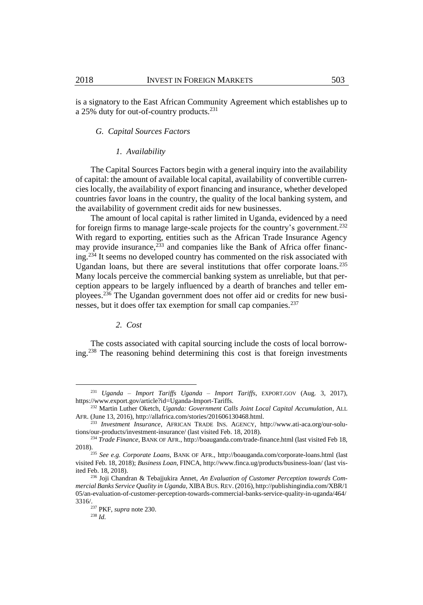is a signatory to the East African Community Agreement which establishes up to a 25% duty for out-of-country products.<sup>231</sup>

# *G. Capital Sources Factors*

#### *1. Availability*

The Capital Sources Factors begin with a general inquiry into the availability of capital: the amount of available local capital, availability of convertible currencies locally, the availability of export financing and insurance, whether developed countries favor loans in the country, the quality of the local banking system, and the availability of government credit aids for new businesses.

The amount of local capital is rather limited in Uganda, evidenced by a need for foreign firms to manage large-scale projects for the country's government.<sup>232</sup> With regard to exporting, entities such as the African Trade Insurance Agency may provide insurance, $233$  and companies like the Bank of Africa offer financing.<sup>234</sup> It seems no developed country has commented on the risk associated with Ugandan loans, but there are several institutions that offer corporate loans.<sup>235</sup> Many locals perceive the commercial banking system as unreliable, but that perception appears to be largely influenced by a dearth of branches and teller employees.<sup>236</sup> The Ugandan government does not offer aid or credits for new businesses, but it does offer tax exemption for small cap companies.<sup>237</sup>

# *2. Cost*

The costs associated with capital sourcing include the costs of local borrowing.<sup>238</sup> The reasoning behind determining this cost is that foreign investments

<sup>231</sup> *Uganda – Import Tariffs Uganda – Import Tariffs*, EXPORT.GOV (Aug. 3, 2017), https://www.export.gov/article?id=Uganda-Import-Tariffs.

<sup>232</sup> Martin Luther Oketch, *Uganda: Government Calls Joint Local Capital Accumulation*, ALL AFR. (June 13, 2016), http://allafrica.com/stories/201606130468.html.

<sup>233</sup> *Investment Insurance*, AFRICAN TRADE INS. AGENCY, http://www.ati-aca.org/our-solutions/our-products/investment-insurance/ (last visited Feb. 18, 2018).

<sup>&</sup>lt;sup>234</sup> Trade Finance, BANK OF AFR., http://boauganda.com/trade-finance.html (last visited Feb 18, 2018).

<sup>235</sup> *See e.g. Corporate Loans*, BANK OF AFR., http://boauganda.com/corporate-loans.html (last visited Feb. 18, 2018); *Business Loan*, FINCA, http://www.finca.ug/products/business-loan/ (last visited Feb. 18, 2018).

<sup>236</sup> Joji Chandran & Tebajjukira Annet, *An Evaluation of Customer Perception towards Commercial Banks Service Quality in Uganda*, XIBABUS. REV. (2016), http://publishingindia.com/XBR/1 05/an-evaluation-of-customer-perception-towards-commercial-banks-service-quality-in-uganda/464/ 3316/.

<sup>237</sup> PKF, *supra* not[e 230.](#page-26-0)

<sup>238</sup> *Id.*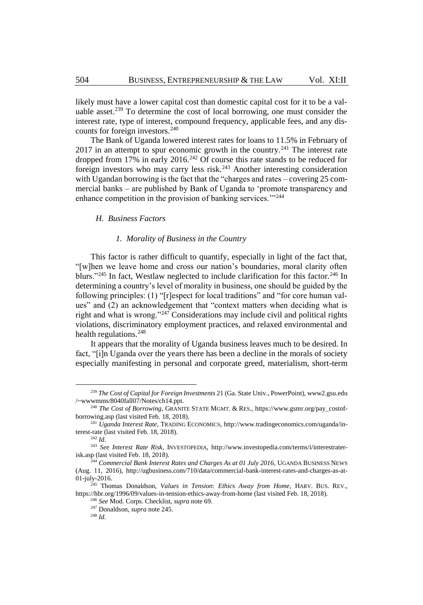likely must have a lower capital cost than domestic capital cost for it to be a valuable asset. <sup>239</sup> To determine the cost of local borrowing, one must consider the interest rate, type of interest, compound frequency, applicable fees, and any discounts for foreign investors. $240$ 

The Bank of Uganda lowered interest rates for loans to 11.5% in February of  $2017$  in an attempt to spur economic growth in the country.<sup>241</sup> The interest rate dropped from  $17\%$  in early  $2016.<sup>242</sup>$  Of course this rate stands to be reduced for foreign investors who may carry less risk.<sup>243</sup> Another interesting consideration with Ugandan borrowing is the fact that the "charges and rates – covering 25 commercial banks – are published by Bank of Uganda to 'promote transparency and enhance competition in the provision of banking services."<sup>244</sup>

# *H. Business Factors*

# *1. Morality of Business in the Country*

<span id="page-28-0"></span>This factor is rather difficult to quantify, especially in light of the fact that, "[w]hen we leave home and cross our nation's boundaries, moral clarity often blurs."<sup>245</sup> In fact, Westlaw neglected to include clarification for this factor.<sup>246</sup> In determining a country's level of morality in business, one should be guided by the following principles: (1) "[r]espect for local traditions" and "for core human values" and (2) an acknowledgement that "context matters when deciding what is right and what is wrong."<sup>247</sup> Considerations may include civil and political rights violations, discriminatory employment practices, and relaxed environmental and health regulations.<sup>248</sup>

It appears that the morality of Uganda business leaves much to be desired. In fact, "[i]n Uganda over the years there has been a decline in the morals of society especially manifesting in personal and corporate greed, materialism, short-term

<sup>239</sup> *The Cost of Capital for Foreign Investments* 21 (Ga. State Univ., PowerPoint), www2.gsu.edu /~wwwmms/8040fall07/Notes/ch14.ppt.

<sup>240</sup> *The Cost of Borrowing*, GRANITE STATE MGMT. & RES., https://www.gsmr.org/pay\_costofborrowing.asp (last visited Feb. 18, 2018).

<sup>241</sup> *Uganda Interest Rate*, TRADING ECONOMICS, http://www.tradingeconomics.com/uganda/interest-rate (last visited Feb. 18, 2018).

<sup>242</sup> *Id.*

<sup>243</sup> *See Interest Rate Risk*, INVESTOPEDIA, http://www.investopedia.com/terms/i/interestraterisk.asp (last visited Feb. 18, 2018).

<sup>244</sup> *Commercial Bank Interest Rates and Charges As at 01 July 2016*, UGANDA BUSINESS NEWS (Aug. 11, 2016), http://ugbusiness.com/710/data/commercial-bank-interest-rates-and-charges-as-at-01-july-2016.

<sup>245</sup> Thomas Donaldson, *Values in Tension*: *Ethics Away from Home*, HARV. BUS. REV., https://hbr.org/1996/09/values-in-tension-ethics-away-from-home (last visited Feb. 18, 2018).

<sup>246</sup> *See* Mod. Corps. Checklist, *supra* not[e 69.](#page-9-0)

<sup>247</sup> Donaldson, *supra* not[e 245.](#page-28-0)

<sup>248</sup> *Id.*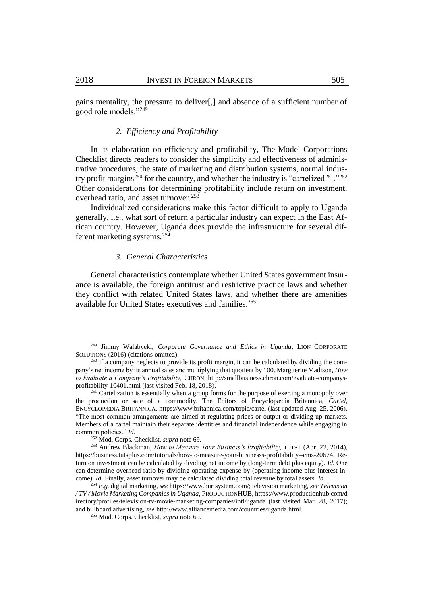gains mentality, the pressure to deliver[,] and absence of a sufficient number of good role models."<sup>249</sup>

# *2. Efficiency and Profitability*

In its elaboration on efficiency and profitability, The Model Corporations Checklist directs readers to consider the simplicity and effectiveness of administrative procedures, the state of marketing and distribution systems, normal industry profit margins<sup>250</sup> for the country, and whether the industry is "cartelized<sup>251</sup>."<sup>252</sup> Other considerations for determining profitability include return on investment, overhead ratio, and asset turnover.<sup>253</sup>

Individualized considerations make this factor difficult to apply to Uganda generally, i.e., what sort of return a particular industry can expect in the East African country. However, Uganda does provide the infrastructure for several different marketing systems.<sup>254</sup>

# *3. General Characteristics*

General characteristics contemplate whether United States government insurance is available, the foreign antitrust and restrictive practice laws and whether they conflict with related United States laws, and whether there are amenities available for United States executives and families.<sup>255</sup>

<sup>249</sup> Jimmy Walabyeki, *Corporate Governance and Ethics in Uganda*, LION CORPORATE SOLUTIONS (2016) (citations omitted).

 $250$  If a company neglects to provide its profit margin, it can be calculated by dividing the company's net income by its annual sales and multiplying that quotient by 100. Marguerite Madison, *How to Evaluate a Company's Profitability,* CHRON, http://smallbusiness.chron.com/evaluate-companysprofitability-10401.html (last visited Feb. 18, 2018).

<sup>&</sup>lt;sup>251</sup> Cartelization is essentially when a group forms for the purpose of exerting a monopoly over the production or sale of a commodity. The Editors of Encyclopædia Britannica, *Cartel*, ENCYCLOPÆDIA BRITANNICA, https://www.britannica.com/topic/cartel (last updated Aug. 25, 2006). "The most common arrangements are aimed at regulating prices or output or dividing up markets. Members of a cartel maintain their separate identities and financial independence while engaging in common policies." *Id.*

<sup>252</sup> Mod. Corps. Checklist, *supra* not[e 69.](#page-9-0)

<sup>253</sup> Andrew Blackman, *How to Measure Your Business's Profitability,* TUTS+ (Apr. 22, 2014), https://business.tutsplus.com/tutorials/how-to-measure-your-businesss-profitability--cms-20674. Return on investment can be calculated by dividing net income by (long-term debt plus equity). *Id.* One can determine overhead ratio by dividing operating expense by (operating income plus interest income). *Id.* Finally, asset turnover may be calculated dividing total revenue by total assets. *Id.* 

<sup>254</sup> *E.g.* digital marketing, *see* https://www.burtsystem.com/; television marketing, *see Television / TV / Movie Marketing Companies in Uganda*, PRODUCTIONHUB, https://www.productionhub.com/d irectory/profiles/television-tv-movie-marketing-companies/intl/uganda (last visited Mar. 28, 2017); and billboard advertising, *see* http://www.alliancemedia.com/countries/uganda.html.

<sup>255</sup> Mod. Corps. Checklist, *supra* not[e 69.](#page-9-0)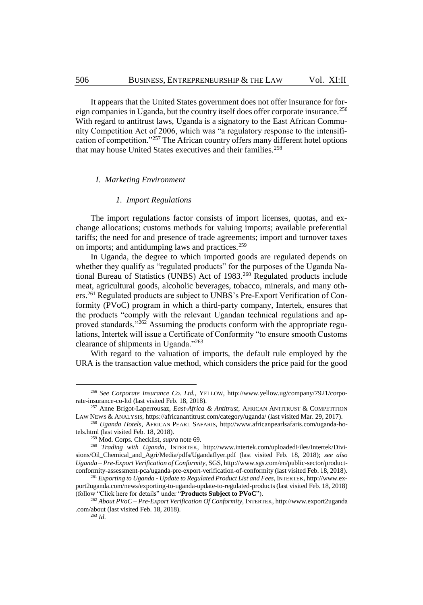It appears that the United States government does not offer insurance for foreign companies in Uganda, but the country itself does offer corporate insurance.<sup>256</sup> With regard to antitrust laws, Uganda is a signatory to the East African Community Competition Act of 2006, which was "a regulatory response to the intensification of competition."<sup>257</sup> The African country offers many different hotel options that may house United States executives and their families.<sup>258</sup>

# *I. Marketing Environment*

# *1. Import Regulations*

The import regulations factor consists of import licenses, quotas, and exchange allocations; customs methods for valuing imports; available preferential tariffs; the need for and presence of trade agreements; import and turnover taxes on imports; and antidumping laws and practices.<sup>259</sup>

In Uganda, the degree to which imported goods are regulated depends on whether they qualify as "regulated products" for the purposes of the Uganda National Bureau of Statistics (UNBS) Act of 1983.<sup>260</sup> Regulated products include meat, agricultural goods, alcoholic beverages, tobacco, minerals, and many others.<sup>261</sup> Regulated products are subject to UNBS's Pre-Export Verification of Conformity (PVoC) program in which a third-party company, Intertek, ensures that the products "comply with the relevant Ugandan technical regulations and approved standards."<sup>262</sup> Assuming the products conform with the appropriate regulations, Intertek will issue a Certificate of Conformity "to ensure smooth Customs clearance of shipments in Uganda."<sup>263</sup>

With regard to the valuation of imports, the default rule employed by the URA is the transaction value method, which considers the price paid for the good

<sup>256</sup> *See Corporate Insurance Co. Ltd.*, YELLOW, http://www.yellow.ug/company/7921/corporate-insurance-co-ltd (last visited Feb. 18, 2018).

<sup>257</sup> Anne Brigot-Laperrousaz, *East-Africa & Antitrust*, AFRICAN ANTITRUST & COMPETITION LAW NEWS & ANALYSIS, https://africanantitrust.com/category/uganda/ (last visited Mar. 29, 2017).

<sup>258</sup> *Uganda Hotels*, AFRICAN PEARL SAFARIS, http://www.africanpearlsafaris.com/uganda-hotels.html (last visited Feb. 18, 2018).

<sup>259</sup> Mod. Corps. Checklist, *supra* not[e 69.](#page-9-0)

<sup>&</sup>lt;sup>260</sup> *Trading with Uganda*, INTERTEK, http://www.intertek.com/uploadedFiles/Intertek/Divisions/Oil\_Chemical\_and\_Agri/Media/pdfs/Ugandaflyer.pdf (last visited Feb. 18, 2018); *see also Uganda – Pre-Export Verification of Conformity*, SGS, http://www.sgs.com/en/public-sector/productconformity-assessment-pca/uganda-pre-export-verification-of-conformity (last visited Feb. 18, 2018).

<sup>261</sup> *Exporting to Uganda - Update to Regulated Product List and Fees*, INTERTEK, http://www.export2uganda.com/news/exporting-to-uganda-update-to-regulated-products (last visited Feb. 18, 2018) (follow "Click here for details" under "**Products Subject to PVoC**").

<sup>262</sup> *About PVoC – Pre-Export Verification Of Conformity*, INTERTEK, http://www.export2uganda .com/about (last visited Feb. 18, 2018).

<sup>263</sup> *Id.*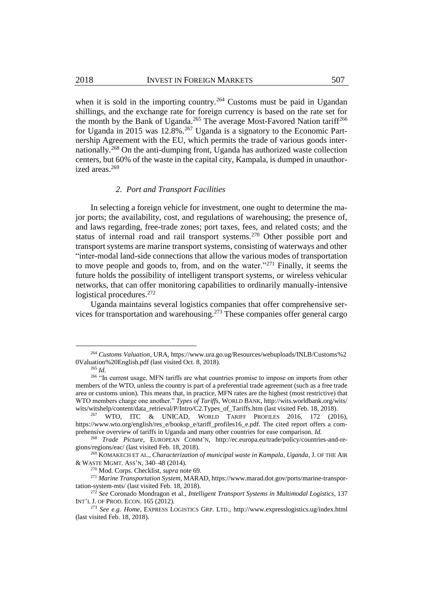when it is sold in the importing country.<sup>264</sup> Customs must be paid in Ugandan shillings, and the exchange rate for foreign currency is based on the rate set for the month by the Bank of Uganda.<sup>265</sup> The average Most-Favored Nation tariff<sup>266</sup> for Uganda in 2015 was  $12.8\%$ .<sup>267</sup> Uganda is a signatory to the Economic Partnership Agreement with the EU, which permits the trade of various goods internationally.<sup>268</sup> On the anti-dumping front, Uganda has authorized waste collection centers, but 60% of the waste in the capital city, Kampala, is dumped in unauthorized areas.<sup>269</sup>

#### *2. Port and Transport Facilities*

In selecting a foreign vehicle for investment, one ought to determine the major ports; the availability, cost, and regulations of warehousing; the presence of, and laws regarding, free-trade zones; port taxes, fees, and related costs; and the status of internal road and rail transport systems.<sup>270</sup> Other possible port and transport systems are marine transport systems, consisting of waterways and other "inter-modal land-side connections that allow the various modes of transportation to move people and goods to, from, and on the water. $271$  Finally, it seems the future holds the possibility of intelligent transport systems, or wireless vehicular networks, that can offer monitoring capabilities to ordinarily manually-intensive logistical procedures.<sup>272</sup>

Uganda maintains several logistics companies that offer comprehensive services for transportation and warehousing.<sup>273</sup> These companies offer general cargo

<sup>264</sup> *Customs Valuation*, URA, https://www.ura.go.ug/Resources/webuploads/INLB/Customs%2 0Valuation%20English.pdf (last visited Oct. 8, 2018).

<span id="page-31-0"></span><sup>265</sup> *Id.*

<sup>&</sup>lt;sup>266</sup> "In current usage, MFN tariffs are what countries promise to impose on imports from other members of the WTO, unless the country is part of a preferential trade agreement (such as a free trade area or customs union). This means that, in practice, MFN rates are the highest (most restrictive) that WTO members charge one another." *Types of Tariffs*, WORLD BANK, http://wits.worldbank.org/wits/ wits/witshelp/content/data\_retrieval/P/Intro/C2.Types\_of\_Tariffs.htm (last visited Feb. 18, 2018).

WTO, ITC & UNICAD, WORLD TARIFF PROFILES 2016, 172 (2016), https://www.wto.org/english/res\_e/booksp\_e/tariff\_profiles16\_e.pdf. The cited report offers a comprehensive overview of tariffs in Uganda and many other countries for ease comparison. *Id.*

<sup>268</sup> *Trade Picture*, EUROPEAN COMM'N, http://ec.europa.eu/trade/policy/countries-and-regions/regions/eac/ (last visited Feb. 18, 2018).

<sup>269</sup> KOMAKECH ET AL., *Characterization of municipal waste in Kampala, Uganda*, J. OF THE AIR & WASTE MGMT. ASS'N, 340–48 (2014).

<sup>270</sup> Mod. Corps. Checklist, *supra* not[e 69.](#page-9-0)

<sup>271</sup> *Marine Transportation System*, MARAD, https://www.marad.dot.gov/ports/marine-transportation-system-mts/ (last visited Feb. 18, 2018).

<sup>272</sup> *See* Coronado Mondragon et al., *Intelligent Transport Systems in Multimodal Logistics*, 137 INT'L J. OF PROD. ECON. 165 (2012).

<sup>273</sup> *See e.g. Home*, EXPRESS LOGISTICS GRP. LTD., http://www.expresslogistics.ug/index.html (last visited Feb. 18, 2018).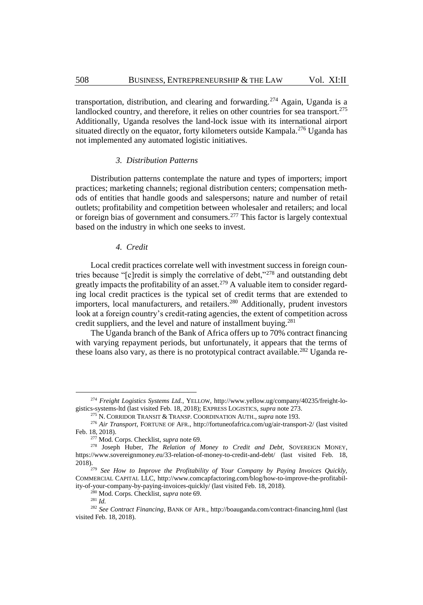transportation, distribution, and clearing and forwarding.<sup>274</sup> Again, Uganda is a landlocked country, and therefore, it relies on other countries for sea transport.<sup>275</sup> Additionally, Uganda resolves the land-lock issue with its international airport situated directly on the equator, forty kilometers outside Kampala.<sup>276</sup> Uganda has not implemented any automated logistic initiatives.

# *3. Distribution Patterns*

Distribution patterns contemplate the nature and types of importers; import practices; marketing channels; regional distribution centers; compensation methods of entities that handle goods and salespersons; nature and number of retail outlets; profitability and competition between wholesaler and retailers; and local or foreign bias of government and consumers.<sup>277</sup> This factor is largely contextual based on the industry in which one seeks to invest.

# <span id="page-32-0"></span>*4. Credit*

Local credit practices correlate well with investment success in foreign countries because "[c]redit is simply the correlative of debt,"<sup>278</sup> and outstanding debt greatly impacts the profitability of an asset.<sup>279</sup> A valuable item to consider regarding local credit practices is the typical set of credit terms that are extended to importers, local manufacturers, and retailers.<sup>280</sup> Additionally, prudent investors look at a foreign country's credit-rating agencies, the extent of competition across credit suppliers, and the level and nature of installment buying.<sup>281</sup>

The Uganda branch of the Bank of Africa offers up to 70% contract financing with varying repayment periods, but unfortunately, it appears that the terms of these loans also vary, as there is no prototypical contract available.<sup>282</sup> Uganda re-

<sup>274</sup> *Freight Logistics Systems Ltd.*, YELLOW, http://www.yellow.ug/company/40235/freight-logistics-systems-ltd (last visited Feb. 18, 2018); EXPRESS LOGISTICS, *supra* not[e 273.](#page-31-0)

<sup>275</sup> N. CORRIDOR TRANSIT & TRANSP. COORDINATION AUTH., *supra* note [193.](#page-23-2)

<sup>276</sup> *Air Transport*, FORTUNE OF AFR., http://fortuneofafrica.com/ug/air-transport-2/ (last visited Feb. 18, 2018).

<sup>277</sup> Mod. Corps. Checklist, *supra* not[e 69.](#page-9-0)

<sup>278</sup> Joseph Huber, *The Relation of Money to Credit and Debt*, SOVEREIGN MONEY, https://www.sovereignmoney.eu/33-relation-of-money-to-credit-and-debt/ (last visited Feb. 18, 2018).

<sup>279</sup> *See How to Improve the Profitability of Your Company by Paying Invoices Quickly,*  COMMERCIAL CAPITAL LLC, http://www.comcapfactoring.com/blog/how-to-improve-the-profitability-of-your-company-by-paying-invoices-quickly/ (last visited Feb. 18, 2018).

<sup>280</sup> Mod. Corps. Checklist, *supra* not[e 69.](#page-9-0)

<sup>281</sup> *Id.*

<sup>282</sup> *See Contract Financing*, BANK OF AFR., http://boauganda.com/contract-financing.html (last visited Feb. 18, 2018).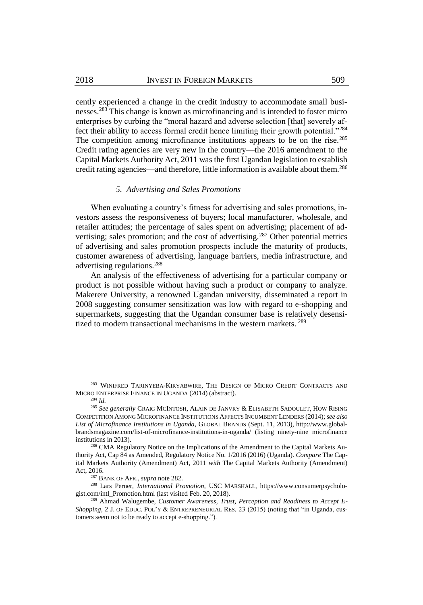cently experienced a change in the credit industry to accommodate small businesses.<sup>283</sup> This change is known as microfinancing and is intended to foster micro enterprises by curbing the "moral hazard and adverse selection [that] severely affect their ability to access formal credit hence limiting their growth potential."<sup>284</sup> The competition among microfinance institutions appears to be on the rise.<sup>285</sup> Credit rating agencies are very new in the country—the 2016 amendment to the Capital Markets Authority Act, 2011 was the first Ugandan legislation to establish credit rating agencies—and therefore, little information is available about them.<sup>286</sup>

#### *5. Advertising and Sales Promotions*

When evaluating a country's fitness for advertising and sales promotions, investors assess the responsiveness of buyers; local manufacturer, wholesale, and retailer attitudes; the percentage of sales spent on advertising; placement of advertising; sales promotion; and the cost of advertising.<sup>287</sup> Other potential metrics of advertising and sales promotion prospects include the maturity of products, customer awareness of advertising, language barriers, media infrastructure, and advertising regulations.<sup>288</sup>

An analysis of the effectiveness of advertising for a particular company or product is not possible without having such a product or company to analyze. Makerere University, a renowned Ugandan university, disseminated a report in 2008 suggesting consumer sensitization was low with regard to e-shopping and supermarkets, suggesting that the Ugandan consumer base is relatively desensitized to modern transactional mechanisms in the western markets.<sup>289</sup>

<sup>&</sup>lt;sup>283</sup> WINIFRED TARINYEBA-KIRYABWIRE, THE DESIGN OF MICRO CREDIT CONTRACTS AND MICRO ENTERPRISE FINANCE IN UGANDA (2014) (abstract).

<sup>284</sup> *Id.*

<sup>285</sup> *See generally* CRAIG MCINTOSH, ALAIN DE JANVRY & ELISABETH SADOULET, HOW RISING COMPETITION AMONG MICROFINANCE INSTITUTIONS AFFECTS INCUMBENT LENDERS (2014); *see also List of Microfinance Institutions in Uganda*, GLOBAL BRANDS (Sept. 11, 2013), http://www.globalbrandsmagazine.com/list-of-microfinance-institutions-in-uganda/ (listing ninety-nine microfinance institutions in 2013).

<sup>&</sup>lt;sup>286</sup> CMA Regulatory Notice on the Implications of the Amendment to the Capital Markets Authority Act, Cap 84 as Amended, Regulatory Notice No. 1/2016 (2016) (Uganda). *Compare* The Capital Markets Authority (Amendment) Act, 2011 *with* The Capital Markets Authority (Amendment) Act, 2016.

<sup>287</sup> BANK OF AFR., *supra* not[e 282.](#page-32-0)

<sup>288</sup> Lars Perner, *International Promotion*, USC MARSHALL, https://www.consumerpsychologist.com/intl\_Promotion.html (last visited Feb. 20, 2018).

<sup>289</sup> Ahmad Walugembe, *Customer Awareness, Trust, Perception and Readiness to Accept E-Shopping*, 2 J. OF EDUC. POL'Y & ENTREPRENEURIAL RES. 23 (2015) (noting that "in Uganda, customers seem not to be ready to accept e-shopping.").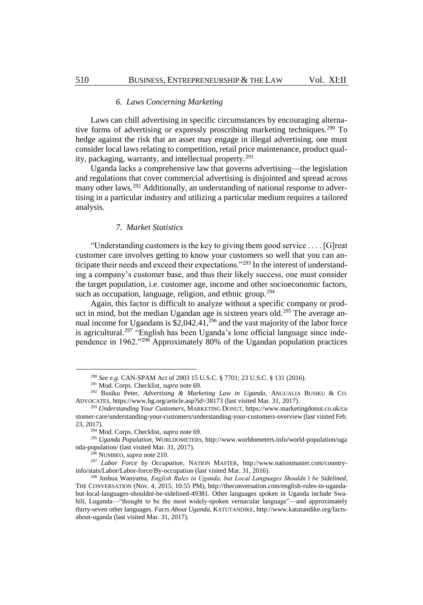# *6. Laws Concerning Marketing*

Laws can chill advertising in specific circumstances by encouraging alternative forms of advertising or expressly proscribing marketing techniques.<sup>290</sup> To hedge against the risk that an asset may engage in illegal advertising, one must consider local laws relating to competition, retail price maintenance, product quality, packaging, warranty, and intellectual property.<sup>291</sup>

Uganda lacks a comprehensive law that governs advertising—the legislation and regulations that cover commercial advertising is disjointed and spread across many other laws.<sup>292</sup> Additionally, an understanding of national response to advertising in a particular industry and utilizing a particular medium requires a tailored analysis.

#### *7. Market Statistics*

"Understanding customers is the key to giving them good service . . . . [G]reat customer care involves getting to know your customers so well that you can anticipate their needs and exceed their expectations."<sup>293</sup> In the interest of understanding a company's customer base, and thus their likely success, one must consider the target population, i.e. customer age, income and other socioeconomic factors, such as occupation, language, religion, and ethnic group.<sup>294</sup>

Again, this factor is difficult to analyze without a specific company or product in mind, but the median Ugandan age is sixteen years old.<sup>295</sup> The average annual income for Ugandans is \$2,042.41,<sup>296</sup> and the vast majority of the labor force is agricultural.<sup>297</sup> "English has been Uganda's lone official language since independence in 1962."<sup>298</sup> Approximately 80% of the Ugandan population practices

<sup>290</sup> *See e.g.* CAN-SPAM Act of 2003 15 U.S.C. § 7701; 23 U.S.C. § 131 (2016).

<sup>291</sup> Mod. Corps. Checklist, *supra* not[e 69.](#page-9-0)

<sup>292</sup> Busiku Peter, *Advertising & Marketing Law in Uganda*, ANGUALIA BUSIKU & CO. ADVOCATES, https://www.hg.org/article.asp?id=38173 (last visited Mar. 31, 2017).

<sup>293</sup> *Understanding Your Customers*, MARKETING DONUT, https://www.marketingdonut.co.uk/cu stomer-care/understanding-your-customers/understanding-your-customers-overview (last visited Feb. 23, 2017).

<sup>294</sup> Mod. Corps. Checklist, *supra* not[e 69.](#page-9-0)

<sup>295</sup> *Uganda Population*, WORLDOMETERS, http://www.worldometers.info/world-population/uga nda-population/ (last visited Mar. 31, 2017).

<sup>296</sup> NUMBEO, *supra* not[e 210.](#page-24-0)

<sup>297</sup> *Labor Force by Occupation*, NATION MASTER, http://www.nationmaster.com/countryinfo/stats/Labor/Labor-force/By-occupation (last visited Mar. 31, 2016).

<sup>298</sup> Joshua Wanyama, *English Rules in Uganda, but Local Languages Shouldn't be Sidelined*, THE CONVERSATION (Nov. 4, 2015, 10:55 PM), http://theconversation.com/english-rules-in-ugandabut-local-languages-shouldnt-be-sidelined-49381. Other languages spoken in Uganda include Swahili, Luganda—"thought to be the most widely-spoken vernacular language"—and approximately thirty-seven other languages. *Facts About Uganda*, KATUTANDIKE, http://www.katutandike.org/factsabout-uganda (last visited Mar. 31, 2017).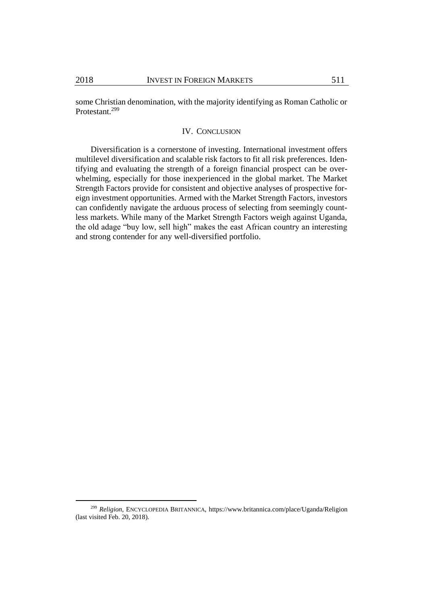some Christian denomination, with the majority identifying as Roman Catholic or Protestant.<sup>299</sup>

# IV. CONCLUSION

Diversification is a cornerstone of investing. International investment offers multilevel diversification and scalable risk factors to fit all risk preferences. Identifying and evaluating the strength of a foreign financial prospect can be overwhelming, especially for those inexperienced in the global market. The Market Strength Factors provide for consistent and objective analyses of prospective foreign investment opportunities. Armed with the Market Strength Factors, investors can confidently navigate the arduous process of selecting from seemingly countless markets. While many of the Market Strength Factors weigh against Uganda, the old adage "buy low, sell high" makes the east African country an interesting and strong contender for any well-diversified portfolio.

<sup>299</sup> *Religion*, ENCYCLOPEDIA BRITANNICA, https://www.britannica.com/place/Uganda/Religion (last visited Feb. 20, 2018).